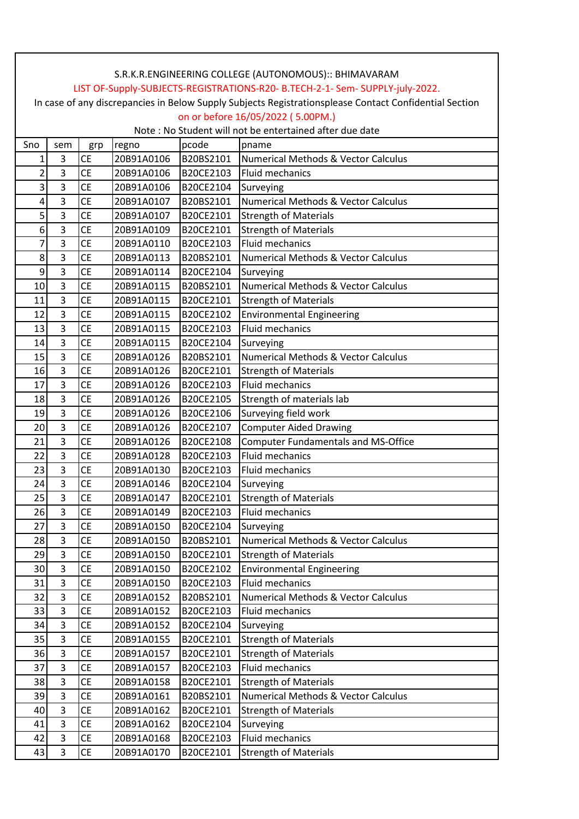| S.R.K.R.ENGINEERING COLLEGE (AUTONOMOUS):: BHIMAVARAM |                                                                                                        |           |            |           |                                                |  |  |  |  |
|-------------------------------------------------------|--------------------------------------------------------------------------------------------------------|-----------|------------|-----------|------------------------------------------------|--|--|--|--|
|                                                       | LIST OF-Supply-SUBJECTS-REGISTRATIONS-R20- B.TECH-2-1- Sem- SUPPLY-july-2022.                          |           |            |           |                                                |  |  |  |  |
|                                                       | In case of any discrepancies in Below Supply Subjects Registrationsplease Contact Confidential Section |           |            |           |                                                |  |  |  |  |
|                                                       | on or before 16/05/2022 (5.00PM.)                                                                      |           |            |           |                                                |  |  |  |  |
|                                                       | Note: No Student will not be entertained after due date                                                |           |            |           |                                                |  |  |  |  |
| Sno                                                   | pcode<br>regno<br>sem<br>pname<br>grp                                                                  |           |            |           |                                                |  |  |  |  |
| 1                                                     | 3                                                                                                      | <b>CE</b> | 20B91A0106 | B20BS2101 | Numerical Methods & Vector Calculus            |  |  |  |  |
| $\overline{2}$                                        | $\overline{3}$                                                                                         | <b>CE</b> | 20B91A0106 | B20CE2103 | Fluid mechanics                                |  |  |  |  |
| 3                                                     | 3                                                                                                      | <b>CE</b> | 20B91A0106 | B20CE2104 | Surveying                                      |  |  |  |  |
| 4                                                     | 3                                                                                                      | <b>CE</b> | 20B91A0107 | B20BS2101 | Numerical Methods & Vector Calculus            |  |  |  |  |
| 5                                                     | $\overline{3}$                                                                                         | <b>CE</b> | 20B91A0107 | B20CE2101 | <b>Strength of Materials</b>                   |  |  |  |  |
| 6                                                     | 3                                                                                                      | <b>CE</b> | 20B91A0109 | B20CE2101 | <b>Strength of Materials</b>                   |  |  |  |  |
| $\overline{7}$                                        | 3                                                                                                      | <b>CE</b> | 20B91A0110 | B20CE2103 | <b>Fluid mechanics</b>                         |  |  |  |  |
| 8 <sup>1</sup>                                        | $\overline{3}$                                                                                         | <b>CE</b> | 20B91A0113 | B20BS2101 | <b>Numerical Methods &amp; Vector Calculus</b> |  |  |  |  |
| 9                                                     | $\overline{3}$                                                                                         | <b>CE</b> | 20B91A0114 | B20CE2104 | Surveying                                      |  |  |  |  |
| 10                                                    | 3                                                                                                      | <b>CE</b> | 20B91A0115 | B20BS2101 | Numerical Methods & Vector Calculus            |  |  |  |  |
| 11                                                    | 3                                                                                                      | <b>CE</b> | 20B91A0115 | B20CE2101 | <b>Strength of Materials</b>                   |  |  |  |  |
| 12                                                    | 3                                                                                                      | <b>CE</b> | 20B91A0115 | B20CE2102 | <b>Environmental Engineering</b>               |  |  |  |  |
| 13                                                    | 3                                                                                                      | <b>CE</b> | 20B91A0115 | B20CE2103 | <b>Fluid mechanics</b>                         |  |  |  |  |
| 14                                                    | 3                                                                                                      | <b>CE</b> | 20B91A0115 | B20CE2104 | Surveying                                      |  |  |  |  |
| 15                                                    | $\overline{3}$                                                                                         | <b>CE</b> | 20B91A0126 | B20BS2101 | <b>Numerical Methods &amp; Vector Calculus</b> |  |  |  |  |
| 16                                                    | 3                                                                                                      | <b>CE</b> | 20B91A0126 | B20CE2101 | <b>Strength of Materials</b>                   |  |  |  |  |
| 17                                                    | 3                                                                                                      | <b>CE</b> | 20B91A0126 | B20CE2103 | Fluid mechanics                                |  |  |  |  |
| 18                                                    | 3                                                                                                      | <b>CE</b> | 20B91A0126 | B20CE2105 | Strength of materials lab                      |  |  |  |  |
| 19                                                    | 3                                                                                                      | <b>CE</b> | 20B91A0126 | B20CE2106 | Surveying field work                           |  |  |  |  |
| 20                                                    | 3                                                                                                      | <b>CE</b> | 20B91A0126 | B20CE2107 | <b>Computer Aided Drawing</b>                  |  |  |  |  |
| 21                                                    | $\overline{3}$                                                                                         | <b>CE</b> | 20B91A0126 | B20CE2108 | <b>Computer Fundamentals and MS-Office</b>     |  |  |  |  |
| 22                                                    | $\overline{3}$                                                                                         | <b>CE</b> | 20B91A0128 | B20CE2103 | <b>Fluid mechanics</b>                         |  |  |  |  |
| 23                                                    | 3                                                                                                      | <b>CE</b> | 20B91A0130 | B20CE2103 | Fluid mechanics                                |  |  |  |  |
| 24                                                    | $\overline{3}$                                                                                         | <b>CE</b> | 20B91A0146 | B20CE2104 | Surveying                                      |  |  |  |  |
| 25                                                    | 3                                                                                                      | <b>CE</b> | 20B91A0147 | B20CE2101 | <b>Strength of Materials</b>                   |  |  |  |  |
| 26                                                    | 3                                                                                                      | <b>CE</b> | 20B91A0149 | B20CE2103 | Fluid mechanics                                |  |  |  |  |
| 27                                                    | 3                                                                                                      | <b>CE</b> | 20B91A0150 | B20CE2104 | Surveying                                      |  |  |  |  |
| 28                                                    | 3                                                                                                      | <b>CE</b> | 20B91A0150 | B20BS2101 | <b>Numerical Methods &amp; Vector Calculus</b> |  |  |  |  |
| 29                                                    | 3                                                                                                      | <b>CE</b> | 20B91A0150 | B20CE2101 | <b>Strength of Materials</b>                   |  |  |  |  |
| 30 <sup>2</sup>                                       | 3                                                                                                      | <b>CE</b> | 20B91A0150 | B20CE2102 | <b>Environmental Engineering</b>               |  |  |  |  |
| 31                                                    | 3                                                                                                      | <b>CE</b> | 20B91A0150 | B20CE2103 | Fluid mechanics                                |  |  |  |  |
| 32                                                    | 3                                                                                                      | <b>CE</b> | 20B91A0152 | B20BS2101 | <b>Numerical Methods &amp; Vector Calculus</b> |  |  |  |  |
| 33                                                    | 3                                                                                                      | <b>CE</b> | 20B91A0152 | B20CE2103 | Fluid mechanics                                |  |  |  |  |
| 34                                                    | 3                                                                                                      | <b>CE</b> | 20B91A0152 | B20CE2104 | Surveying                                      |  |  |  |  |
| 35                                                    | 3                                                                                                      | <b>CE</b> | 20B91A0155 | B20CE2101 | <b>Strength of Materials</b>                   |  |  |  |  |
| 36                                                    | 3                                                                                                      | <b>CE</b> | 20B91A0157 | B20CE2101 | <b>Strength of Materials</b>                   |  |  |  |  |
| 37                                                    | 3                                                                                                      | <b>CE</b> | 20B91A0157 | B20CE2103 | Fluid mechanics                                |  |  |  |  |
| 38                                                    | 3                                                                                                      | <b>CE</b> | 20B91A0158 | B20CE2101 | <b>Strength of Materials</b>                   |  |  |  |  |
| 39                                                    | 3                                                                                                      | <b>CE</b> | 20B91A0161 | B20BS2101 | Numerical Methods & Vector Calculus            |  |  |  |  |
| 40                                                    | $\overline{3}$                                                                                         | <b>CE</b> | 20B91A0162 | B20CE2101 | <b>Strength of Materials</b>                   |  |  |  |  |
| 41                                                    | 3                                                                                                      | <b>CE</b> | 20B91A0162 | B20CE2104 | Surveying                                      |  |  |  |  |
| 42                                                    | 3                                                                                                      | <b>CE</b> | 20B91A0168 | B20CE2103 | Fluid mechanics                                |  |  |  |  |
| 43                                                    | 3                                                                                                      | <b>CE</b> | 20B91A0170 | B20CE2101 | <b>Strength of Materials</b>                   |  |  |  |  |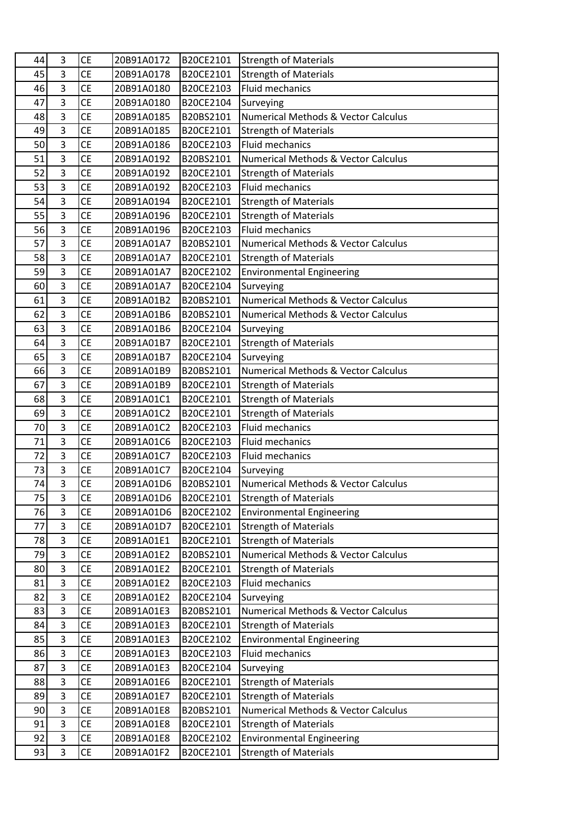| 44 | 3              | <b>CE</b> | 20B91A0172 | B20CE2101 | <b>Strength of Materials</b>                   |
|----|----------------|-----------|------------|-----------|------------------------------------------------|
| 45 | 3              | <b>CE</b> | 20B91A0178 | B20CE2101 | <b>Strength of Materials</b>                   |
| 46 | 3              | <b>CE</b> | 20B91A0180 | B20CE2103 | <b>Fluid mechanics</b>                         |
| 47 | 3              | <b>CE</b> | 20B91A0180 | B20CE2104 | Surveying                                      |
| 48 | $\overline{3}$ | <b>CE</b> | 20B91A0185 | B20BS2101 | Numerical Methods & Vector Calculus            |
| 49 | 3              | <b>CE</b> | 20B91A0185 | B20CE2101 | <b>Strength of Materials</b>                   |
| 50 | 3              | <b>CE</b> | 20B91A0186 | B20CE2103 | <b>Fluid mechanics</b>                         |
| 51 | $\overline{3}$ | <b>CE</b> | 20B91A0192 | B20BS2101 | <b>Numerical Methods &amp; Vector Calculus</b> |
| 52 | 3              | <b>CE</b> | 20B91A0192 | B20CE2101 | <b>Strength of Materials</b>                   |
| 53 | 3              | <b>CE</b> | 20B91A0192 | B20CE2103 | Fluid mechanics                                |
| 54 | 3              | <b>CE</b> | 20B91A0194 | B20CE2101 | <b>Strength of Materials</b>                   |
| 55 | 3              | <b>CE</b> | 20B91A0196 | B20CE2101 | <b>Strength of Materials</b>                   |
| 56 | 3              | <b>CE</b> | 20B91A0196 | B20CE2103 | Fluid mechanics                                |
| 57 | $\overline{3}$ | <b>CE</b> | 20B91A01A7 | B20BS2101 | Numerical Methods & Vector Calculus            |
| 58 | 3              | <b>CE</b> | 20B91A01A7 | B20CE2101 | <b>Strength of Materials</b>                   |
| 59 | 3              | <b>CE</b> | 20B91A01A7 | B20CE2102 | <b>Environmental Engineering</b>               |
| 60 | 3              | <b>CE</b> | 20B91A01A7 | B20CE2104 | Surveying                                      |
| 61 | 3              | <b>CE</b> | 20B91A01B2 | B20BS2101 | <b>Numerical Methods &amp; Vector Calculus</b> |
| 62 | 3              | <b>CE</b> | 20B91A01B6 | B20BS2101 | Numerical Methods & Vector Calculus            |
| 63 | 3              | <b>CE</b> | 20B91A01B6 | B20CE2104 | Surveying                                      |
| 64 | 3              | <b>CE</b> | 20B91A01B7 | B20CE2101 | <b>Strength of Materials</b>                   |
| 65 | $\overline{3}$ | <b>CE</b> | 20B91A01B7 | B20CE2104 | Surveying                                      |
| 66 | 3              | <b>CE</b> | 20B91A01B9 | B20BS2101 | Numerical Methods & Vector Calculus            |
| 67 | $\overline{3}$ | <b>CE</b> | 20B91A01B9 | B20CE2101 | <b>Strength of Materials</b>                   |
| 68 | 3              | <b>CE</b> | 20B91A01C1 | B20CE2101 | <b>Strength of Materials</b>                   |
| 69 | 3              | <b>CE</b> | 20B91A01C2 | B20CE2101 | <b>Strength of Materials</b>                   |
| 70 | $\overline{3}$ | <b>CE</b> | 20B91A01C2 | B20CE2103 | <b>Fluid mechanics</b>                         |
| 71 | 3              | <b>CE</b> | 20B91A01C6 | B20CE2103 | Fluid mechanics                                |
| 72 | $\overline{3}$ | <b>CE</b> | 20B91A01C7 | B20CE2103 | Fluid mechanics                                |
| 73 | 3              | <b>CE</b> | 20B91A01C7 | B20CE2104 | Surveying                                      |
| 74 | 3              | <b>CE</b> | 20B91A01D6 | B20BS2101 | Numerical Methods & Vector Calculus            |
| 75 | 3              | <b>CE</b> | 20B91A01D6 | B20CE2101 | <b>Strength of Materials</b>                   |
| 76 | 3              | <b>CE</b> | 20B91A01D6 | B20CE2102 | <b>Environmental Engineering</b>               |
| 77 | 3              | <b>CE</b> | 20B91A01D7 | B20CE2101 | <b>Strength of Materials</b>                   |
| 78 | 3              | <b>CE</b> | 20B91A01E1 | B20CE2101 | <b>Strength of Materials</b>                   |
| 79 | 3              | <b>CE</b> | 20B91A01E2 | B20BS2101 | Numerical Methods & Vector Calculus            |
| 80 | 3              | CE        | 20B91A01E2 | B20CE2101 | <b>Strength of Materials</b>                   |
| 81 | 3              | <b>CE</b> | 20B91A01E2 | B20CE2103 | <b>Fluid mechanics</b>                         |
| 82 | 3              | <b>CE</b> | 20B91A01E2 | B20CE2104 | Surveying                                      |
| 83 | $\overline{3}$ | <b>CE</b> | 20B91A01E3 | B20BS2101 | Numerical Methods & Vector Calculus            |
| 84 | 3              | <b>CE</b> | 20B91A01E3 | B20CE2101 | <b>Strength of Materials</b>                   |
| 85 | 3              | <b>CE</b> | 20B91A01E3 | B20CE2102 | <b>Environmental Engineering</b>               |
| 86 | $\overline{3}$ | <b>CE</b> | 20B91A01E3 | B20CE2103 | Fluid mechanics                                |
| 87 | 3              | <b>CE</b> | 20B91A01E3 | B20CE2104 | Surveying                                      |
| 88 | 3              | <b>CE</b> | 20B91A01E6 | B20CE2101 | <b>Strength of Materials</b>                   |
| 89 | $\overline{3}$ | <b>CE</b> | 20B91A01E7 | B20CE2101 | <b>Strength of Materials</b>                   |
| 90 | 3              | <b>CE</b> | 20B91A01E8 | B20BS2101 | Numerical Methods & Vector Calculus            |
| 91 | 3              | <b>CE</b> | 20B91A01E8 | B20CE2101 | <b>Strength of Materials</b>                   |
| 92 | 3              | <b>CE</b> | 20B91A01E8 | B20CE2102 | <b>Environmental Engineering</b>               |
| 93 | 3              | <b>CE</b> | 20B91A01F2 | B20CE2101 | <b>Strength of Materials</b>                   |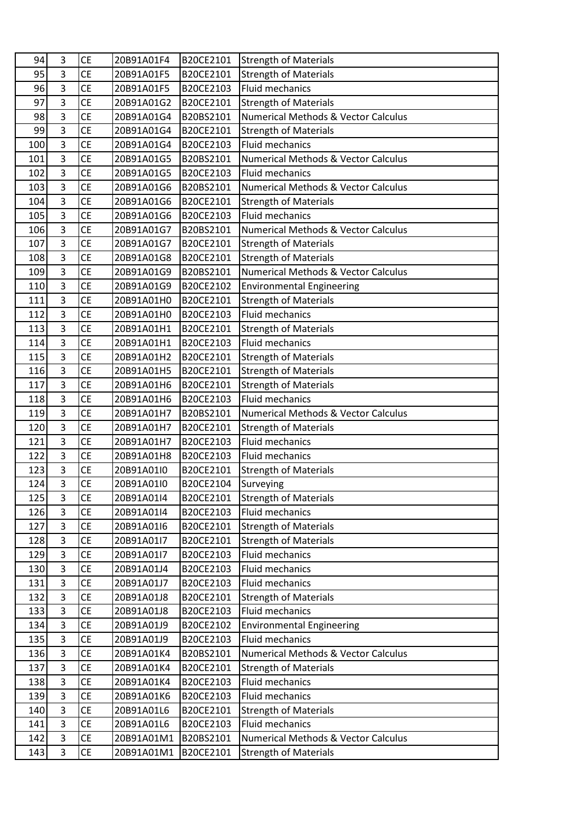| 94  | 3              | <b>CE</b> | 20B91A01F4 | B20CE2101 | <b>Strength of Materials</b>                   |
|-----|----------------|-----------|------------|-----------|------------------------------------------------|
| 95  | 3              | <b>CE</b> | 20B91A01F5 | B20CE2101 | <b>Strength of Materials</b>                   |
| 96  | 3              | <b>CE</b> | 20B91A01F5 | B20CE2103 | Fluid mechanics                                |
| 97  | 3              | <b>CE</b> | 20B91A01G2 | B20CE2101 | <b>Strength of Materials</b>                   |
| 98  | 3              | <b>CE</b> | 20B91A01G4 | B20BS2101 | Numerical Methods & Vector Calculus            |
| 99  | 3              | <b>CE</b> | 20B91A01G4 | B20CE2101 | <b>Strength of Materials</b>                   |
| 100 | $\overline{3}$ | <b>CE</b> | 20B91A01G4 | B20CE2103 | <b>Fluid mechanics</b>                         |
| 101 | 3              | <b>CE</b> | 20B91A01G5 | B20BS2101 | <b>Numerical Methods &amp; Vector Calculus</b> |
| 102 | 3              | <b>CE</b> | 20B91A01G5 | B20CE2103 | <b>Fluid mechanics</b>                         |
| 103 | $\overline{3}$ | <b>CE</b> | 20B91A01G6 | B20BS2101 | <b>Numerical Methods &amp; Vector Calculus</b> |
| 104 | 3              | <b>CE</b> | 20B91A01G6 | B20CE2101 | <b>Strength of Materials</b>                   |
| 105 | 3              | <b>CE</b> | 20B91A01G6 | B20CE2103 | <b>Fluid mechanics</b>                         |
| 106 | 3              | <b>CE</b> | 20B91A01G7 | B20BS2101 | <b>Numerical Methods &amp; Vector Calculus</b> |
| 107 | $\overline{3}$ | <b>CE</b> | 20B91A01G7 | B20CE2101 | <b>Strength of Materials</b>                   |
| 108 | 3              | <b>CE</b> | 20B91A01G8 | B20CE2101 | <b>Strength of Materials</b>                   |
| 109 | 3              | <b>CE</b> | 20B91A01G9 | B20BS2101 | <b>Numerical Methods &amp; Vector Calculus</b> |
| 110 | $\overline{3}$ | <b>CE</b> | 20B91A01G9 | B20CE2102 | <b>Environmental Engineering</b>               |
| 111 | 3              | <b>CE</b> | 20B91A01H0 | B20CE2101 | <b>Strength of Materials</b>                   |
| 112 | 3              | <b>CE</b> | 20B91A01H0 | B20CE2103 | Fluid mechanics                                |
| 113 | $\overline{3}$ | <b>CE</b> | 20B91A01H1 | B20CE2101 | <b>Strength of Materials</b>                   |
| 114 | $\overline{3}$ | <b>CE</b> | 20B91A01H1 | B20CE2103 | <b>Fluid mechanics</b>                         |
| 115 | 3              | <b>CE</b> | 20B91A01H2 | B20CE2101 | <b>Strength of Materials</b>                   |
| 116 | 3              | <b>CE</b> | 20B91A01H5 | B20CE2101 | <b>Strength of Materials</b>                   |
| 117 | 3              | <b>CE</b> | 20B91A01H6 | B20CE2101 | <b>Strength of Materials</b>                   |
| 118 | 3              | <b>CE</b> | 20B91A01H6 | B20CE2103 | <b>Fluid mechanics</b>                         |
| 119 | $\overline{3}$ | <b>CE</b> | 20B91A01H7 | B20BS2101 | Numerical Methods & Vector Calculus            |
| 120 | 3              | <b>CE</b> | 20B91A01H7 | B20CE2101 | <b>Strength of Materials</b>                   |
| 121 | 3              | CE        | 20B91A01H7 | B20CE2103 | Fluid mechanics                                |
| 122 | $\overline{3}$ | CE        | 20B91A01H8 | B20CE2103 | Fluid mechanics                                |
| 123 | 3              | <b>CE</b> | 20B91A01I0 | B20CE2101 | <b>Strength of Materials</b>                   |
| 124 | 3              | <b>CE</b> | 20B91A01I0 | B20CE2104 | Surveying                                      |
| 125 | 3              | <b>CE</b> | 20B91A01I4 | B20CE2101 | <b>Strength of Materials</b>                   |
| 126 | $\overline{3}$ | <b>CE</b> | 20B91A01I4 | B20CE2103 | Fluid mechanics                                |
| 127 | 3              | <b>CE</b> | 20B91A01I6 | B20CE2101 | <b>Strength of Materials</b>                   |
| 128 | 3              | CE        | 20B91A01I7 | B20CE2101 | <b>Strength of Materials</b>                   |
| 129 | 3              | <b>CE</b> | 20B91A01I7 | B20CE2103 | Fluid mechanics                                |
| 130 | 3              | <b>CE</b> | 20B91A01J4 | B20CE2103 | Fluid mechanics                                |
| 131 | 3              | <b>CE</b> | 20B91A01J7 | B20CE2103 | Fluid mechanics                                |
| 132 | $\overline{3}$ | <b>CE</b> | 20B91A01J8 | B20CE2101 | <b>Strength of Materials</b>                   |
| 133 | 3              | <b>CE</b> | 20B91A01J8 | B20CE2103 | <b>Fluid mechanics</b>                         |
| 134 | 3              | <b>CE</b> | 20B91A01J9 | B20CE2102 | <b>Environmental Engineering</b>               |
| 135 | 3              | CE        | 20B91A01J9 | B20CE2103 | Fluid mechanics                                |
| 136 | 3              | <b>CE</b> | 20B91A01K4 | B20BS2101 | Numerical Methods & Vector Calculus            |
| 137 | 3              | CE        | 20B91A01K4 | B20CE2101 | <b>Strength of Materials</b>                   |
| 138 | 3              | <b>CE</b> | 20B91A01K4 | B20CE2103 | Fluid mechanics                                |
| 139 | $\overline{3}$ | CE        | 20B91A01K6 | B20CE2103 | Fluid mechanics                                |
| 140 | 3<br>3         | <b>CE</b> | 20B91A01L6 | B20CE2101 | <b>Strength of Materials</b>                   |
| 141 |                | <b>CE</b> | 20B91A01L6 | B20CE2103 | Fluid mechanics                                |
| 142 | 3              | <b>CE</b> | 20B91A01M1 | B20BS2101 | Numerical Methods & Vector Calculus            |
| 143 | 3              | <b>CE</b> | 20B91A01M1 | B20CE2101 | <b>Strength of Materials</b>                   |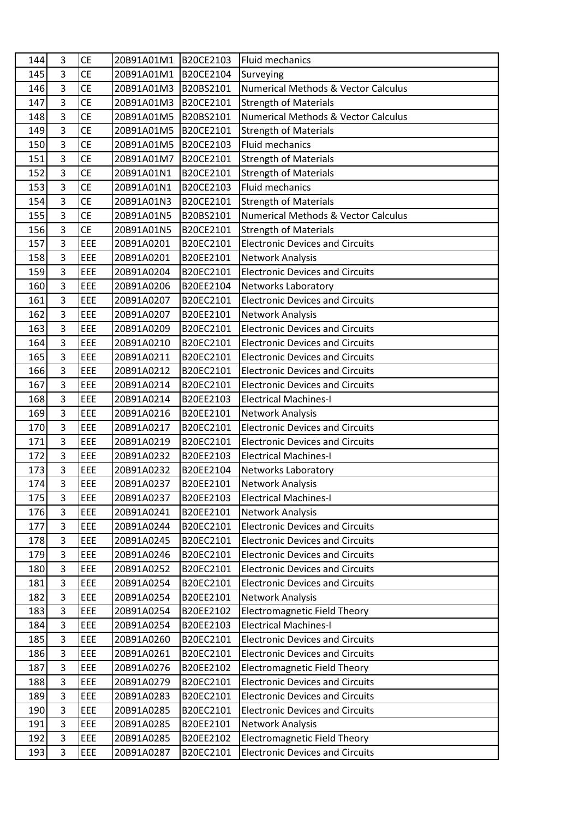| 144 | 3              | <b>CE</b> | 20B91A01M1 | B20CE2103 | Fluid mechanics                                |
|-----|----------------|-----------|------------|-----------|------------------------------------------------|
| 145 | $\overline{3}$ | <b>CE</b> | 20B91A01M1 | B20CE2104 | Surveying                                      |
| 146 | 3              | <b>CE</b> | 20B91A01M3 | B20BS2101 | <b>Numerical Methods &amp; Vector Calculus</b> |
| 147 | 3              | <b>CE</b> | 20B91A01M3 | B20CE2101 | <b>Strength of Materials</b>                   |
| 148 | $\overline{3}$ | <b>CE</b> | 20B91A01M5 | B20BS2101 | Numerical Methods & Vector Calculus            |
| 149 | 3              | <b>CE</b> | 20B91A01M5 | B20CE2101 | <b>Strength of Materials</b>                   |
| 150 | $\overline{3}$ | <b>CE</b> | 20B91A01M5 | B20CE2103 | <b>Fluid mechanics</b>                         |
| 151 | $\overline{3}$ | <b>CE</b> | 20B91A01M7 | B20CE2101 | <b>Strength of Materials</b>                   |
| 152 | $\overline{3}$ | <b>CE</b> | 20B91A01N1 | B20CE2101 | <b>Strength of Materials</b>                   |
| 153 | $\overline{3}$ | CE        | 20B91A01N1 | B20CE2103 | Fluid mechanics                                |
| 154 | 3              | <b>CE</b> | 20B91A01N3 | B20CE2101 | <b>Strength of Materials</b>                   |
| 155 | 3              | <b>CE</b> | 20B91A01N5 | B20BS2101 | <b>Numerical Methods &amp; Vector Calculus</b> |
| 156 | 3              | <b>CE</b> | 20B91A01N5 | B20CE2101 | <b>Strength of Materials</b>                   |
| 157 | $\overline{3}$ | EEE       | 20B91A0201 | B20EC2101 | <b>Electronic Devices and Circuits</b>         |
| 158 | 3              | EEE       | 20B91A0201 | B20EE2101 | <b>Network Analysis</b>                        |
| 159 | 3              | EEE       | 20B91A0204 | B20EC2101 | <b>Electronic Devices and Circuits</b>         |
| 160 | 3              | EEE       | 20B91A0206 | B20EE2104 | <b>Networks Laboratory</b>                     |
| 161 | 3              | EEE       | 20B91A0207 | B20EC2101 | <b>Electronic Devices and Circuits</b>         |
| 162 | 3              | EEE       | 20B91A0207 | B20EE2101 | <b>Network Analysis</b>                        |
| 163 | $\overline{3}$ | EEE       | 20B91A0209 | B20EC2101 | <b>Electronic Devices and Circuits</b>         |
| 164 | $\overline{3}$ | EEE       | 20B91A0210 | B20EC2101 | <b>Electronic Devices and Circuits</b>         |
| 165 | $\overline{3}$ | EEE       | 20B91A0211 | B20EC2101 | <b>Electronic Devices and Circuits</b>         |
| 166 | 3              | EEE       | 20B91A0212 | B20EC2101 | <b>Electronic Devices and Circuits</b>         |
| 167 | $\overline{3}$ | EEE       | 20B91A0214 | B20EC2101 | <b>Electronic Devices and Circuits</b>         |
| 168 | 3              | EEE       | 20B91A0214 | B20EE2103 | <b>Electrical Machines-I</b>                   |
| 169 | 3              | EEE       | 20B91A0216 | B20EE2101 | <b>Network Analysis</b>                        |
| 170 | $\overline{3}$ | EEE       | 20B91A0217 | B20EC2101 | <b>Electronic Devices and Circuits</b>         |
| 171 | 3              | EEE       | 20B91A0219 | B20EC2101 | <b>Electronic Devices and Circuits</b>         |
| 172 | 3              | EEE       | 20B91A0232 | B20EE2103 | <b>Electrical Machines-I</b>                   |
| 173 | 3              | EEE       | 20B91A0232 | B20EE2104 | Networks Laboratory                            |
| 174 | 3              | EEE       | 20B91A0237 | B20EE2101 | <b>Network Analysis</b>                        |
| 175 | 3              | EEE       | 20B91A0237 | B20EE2103 | <b>Electrical Machines-I</b>                   |
| 176 | $\overline{3}$ | EEE       | 20B91A0241 | B20EE2101 | Network Analysis                               |
| 177 | 3              | EEE       | 20B91A0244 | B20EC2101 | <b>Electronic Devices and Circuits</b>         |
| 178 | 3              | EEE       | 20B91A0245 | B20EC2101 | <b>Electronic Devices and Circuits</b>         |
| 179 | 3              | EEE       | 20B91A0246 | B20EC2101 | <b>Electronic Devices and Circuits</b>         |
| 180 | 3              | EEE       | 20B91A0252 | B20EC2101 | <b>Electronic Devices and Circuits</b>         |
| 181 | 3              | EEE       | 20B91A0254 | B20EC2101 | <b>Electronic Devices and Circuits</b>         |
| 182 | 3              | EEE       | 20B91A0254 | B20EE2101 | <b>Network Analysis</b>                        |
| 183 | 3              | EEE       | 20B91A0254 | B20EE2102 | <b>Electromagnetic Field Theory</b>            |
| 184 | 3              | EEE       | 20B91A0254 | B20EE2103 | <b>Electrical Machines-I</b>                   |
| 185 | 3              | EEE       | 20B91A0260 | B20EC2101 | <b>Electronic Devices and Circuits</b>         |
| 186 | 3              | EEE       | 20B91A0261 | B20EC2101 | <b>Electronic Devices and Circuits</b>         |
| 187 | 3              | EEE       | 20B91A0276 | B20EE2102 | <b>Electromagnetic Field Theory</b>            |
| 188 | 3              | EEE       | 20B91A0279 | B20EC2101 | <b>Electronic Devices and Circuits</b>         |
| 189 | 3              | EEE       | 20B91A0283 | B20EC2101 | <b>Electronic Devices and Circuits</b>         |
| 190 | 3              | EEE       | 20B91A0285 | B20EC2101 | <b>Electronic Devices and Circuits</b>         |
| 191 | 3              | EEE       | 20B91A0285 | B20EE2101 | <b>Network Analysis</b>                        |
| 192 | 3              | EEE       | 20B91A0285 | B20EE2102 | <b>Electromagnetic Field Theory</b>            |
| 193 | 3              | EEE       | 20B91A0287 | B20EC2101 | <b>Electronic Devices and Circuits</b>         |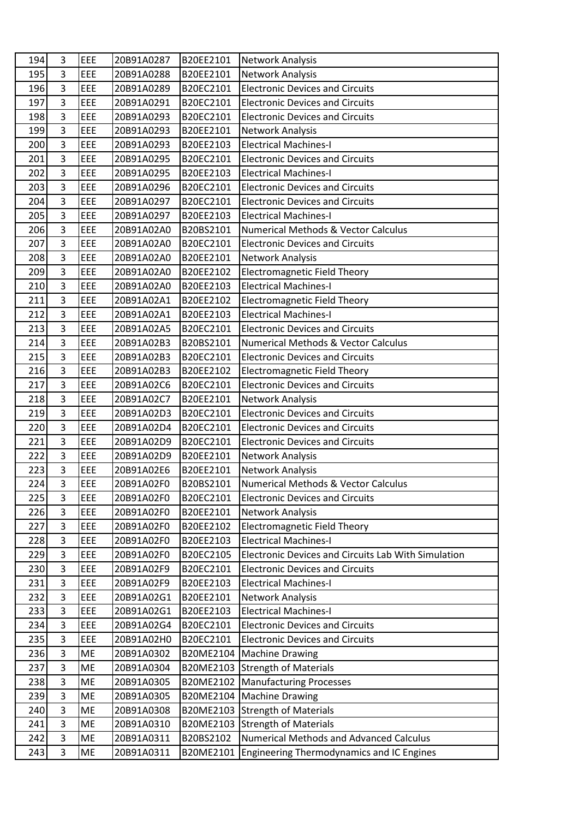| 194 | 3              | EEE | 20B91A0287 | B20EE2101 | <b>Network Analysis</b>                             |
|-----|----------------|-----|------------|-----------|-----------------------------------------------------|
| 195 | $\overline{3}$ | EEE | 20B91A0288 | B20EE2101 | <b>Network Analysis</b>                             |
| 196 | $\overline{3}$ | EEE | 20B91A0289 | B20EC2101 | <b>Electronic Devices and Circuits</b>              |
| 197 | $\overline{3}$ | EEE | 20B91A0291 | B20EC2101 | <b>Electronic Devices and Circuits</b>              |
| 198 | $\overline{3}$ | EEE | 20B91A0293 | B20EC2101 | <b>Electronic Devices and Circuits</b>              |
| 199 | $\overline{3}$ | EEE | 20B91A0293 | B20EE2101 | <b>Network Analysis</b>                             |
| 200 | 3              | EEE | 20B91A0293 | B20EE2103 | <b>Electrical Machines-I</b>                        |
| 201 | 3              | EEE | 20B91A0295 | B20EC2101 | <b>Electronic Devices and Circuits</b>              |
| 202 | $\overline{3}$ | EEE | 20B91A0295 | B20EE2103 | <b>Electrical Machines-I</b>                        |
| 203 | 3              | EEE | 20B91A0296 | B20EC2101 | <b>Electronic Devices and Circuits</b>              |
| 204 | $\overline{3}$ | EEE | 20B91A0297 | B20EC2101 | <b>Electronic Devices and Circuits</b>              |
| 205 | $\overline{3}$ | EEE | 20B91A0297 | B20EE2103 | <b>Electrical Machines-I</b>                        |
| 206 | 3              | EEE | 20B91A02A0 | B20BS2101 | <b>Numerical Methods &amp; Vector Calculus</b>      |
| 207 | 3              | EEE | 20B91A02A0 | B20EC2101 | <b>Electronic Devices and Circuits</b>              |
| 208 | 3              | EEE | 20B91A02A0 | B20EE2101 | <b>Network Analysis</b>                             |
| 209 | $\overline{3}$ | EEE | 20B91A02A0 | B20EE2102 | <b>Electromagnetic Field Theory</b>                 |
| 210 | $\overline{3}$ | EEE | 20B91A02A0 | B20EE2103 | <b>Electrical Machines-I</b>                        |
| 211 | 3              | EEE | 20B91A02A1 | B20EE2102 | <b>Electromagnetic Field Theory</b>                 |
| 212 | $\overline{3}$ | EEE | 20B91A02A1 | B20EE2103 | <b>Electrical Machines-I</b>                        |
| 213 | $\overline{3}$ | EEE | 20B91A02A5 | B20EC2101 | <b>Electronic Devices and Circuits</b>              |
| 214 | $\overline{3}$ | EEE | 20B91A02B3 | B20BS2101 | <b>Numerical Methods &amp; Vector Calculus</b>      |
| 215 | $\overline{3}$ | EEE | 20B91A02B3 | B20EC2101 | <b>Electronic Devices and Circuits</b>              |
| 216 | $\overline{3}$ | EEE | 20B91A02B3 | B20EE2102 | <b>Electromagnetic Field Theory</b>                 |
| 217 | $\overline{3}$ | EEE | 20B91A02C6 | B20EC2101 | <b>Electronic Devices and Circuits</b>              |
| 218 | 3              | EEE | 20B91A02C7 | B20EE2101 | <b>Network Analysis</b>                             |
| 219 | $\overline{3}$ | EEE | 20B91A02D3 | B20EC2101 | <b>Electronic Devices and Circuits</b>              |
| 220 | 3              | EEE | 20B91A02D4 | B20EC2101 | <b>Electronic Devices and Circuits</b>              |
| 221 | $\overline{3}$ | EEE | 20B91A02D9 | B20EC2101 | <b>Electronic Devices and Circuits</b>              |
| 222 | $\overline{3}$ | EEE | 20B91A02D9 | B20EE2101 | <b>Network Analysis</b>                             |
| 223 | 3              | EEE | 20B91A02E6 | B20EE2101 | <b>Network Analysis</b>                             |
| 224 | $\overline{3}$ | EEE | 20B91A02F0 | B20BS2101 | Numerical Methods & Vector Calculus                 |
| 225 | 3              | EEE | 20B91A02F0 | B20EC2101 | <b>Electronic Devices and Circuits</b>              |
| 226 | $\overline{3}$ | EEE | 20B91A02F0 | B20EE2101 | <b>Network Analysis</b>                             |
| 227 | 3              | EEE | 20B91A02F0 | B20EE2102 | <b>Electromagnetic Field Theory</b>                 |
| 228 | $\overline{3}$ | EEE | 20B91A02F0 | B20EE2103 | <b>Electrical Machines-I</b>                        |
| 229 | $\overline{3}$ | EEE | 20B91A02F0 | B20EC2105 | Electronic Devices and Circuits Lab With Simulation |
| 230 | $\overline{3}$ | EEE | 20B91A02F9 | B20EC2101 | <b>Electronic Devices and Circuits</b>              |
| 231 | 3              | EEE | 20B91A02F9 | B20EE2103 | <b>Electrical Machines-I</b>                        |
| 232 | 3              | EEE | 20B91A02G1 | B20EE2101 | <b>Network Analysis</b>                             |
| 233 | 3              | EEE | 20B91A02G1 | B20EE2103 | <b>Electrical Machines-I</b>                        |
| 234 | $\overline{3}$ | EEE | 20B91A02G4 | B20EC2101 | <b>Electronic Devices and Circuits</b>              |
| 235 | 3              | EEE | 20B91A02H0 | B20EC2101 | <b>Electronic Devices and Circuits</b>              |
| 236 | 3              | ME  | 20B91A0302 | B20ME2104 | <b>Machine Drawing</b>                              |
| 237 | 3              | ME  | 20B91A0304 | B20ME2103 | <b>Strength of Materials</b>                        |
| 238 | 3              | ME  | 20B91A0305 | B20ME2102 | <b>Manufacturing Processes</b>                      |
| 239 | 3              | ME  | 20B91A0305 | B20ME2104 | <b>Machine Drawing</b>                              |
| 240 | 3              | ME  | 20B91A0308 | B20ME2103 | Strength of Materials                               |
| 241 | $\overline{3}$ | ME  | 20B91A0310 | B20ME2103 | <b>Strength of Materials</b>                        |
| 242 | 3              | ME  | 20B91A0311 | B20BS2102 | <b>Numerical Methods and Advanced Calculus</b>      |
| 243 | 3              | ME  | 20B91A0311 | B20ME2101 | Engineering Thermodynamics and IC Engines           |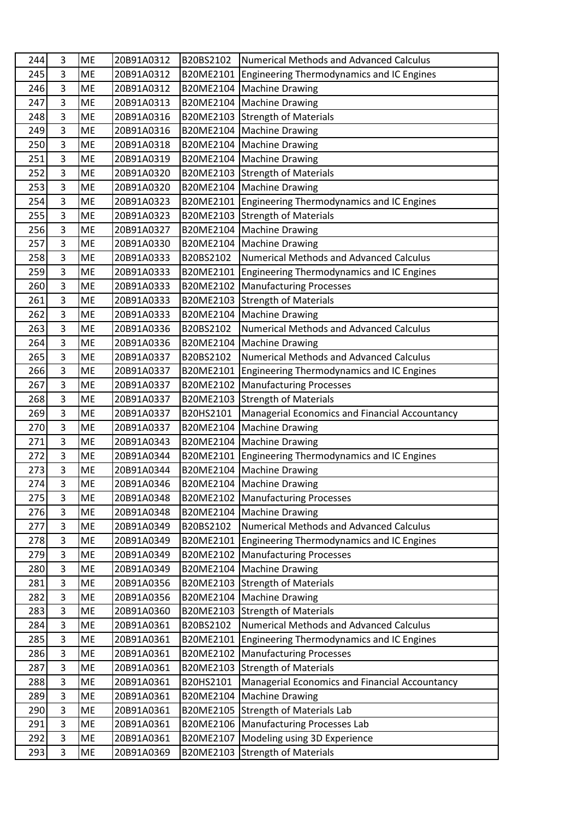| 244 | 3              | <b>ME</b> | 20B91A0312 | B20BS2102 | <b>Numerical Methods and Advanced Calculus</b>   |
|-----|----------------|-----------|------------|-----------|--------------------------------------------------|
| 245 | 3              | <b>ME</b> | 20B91A0312 | B20ME2101 | Engineering Thermodynamics and IC Engines        |
| 246 | 3              | <b>ME</b> | 20B91A0312 | B20ME2104 | Machine Drawing                                  |
| 247 | 3              | ME        | 20B91A0313 | B20ME2104 | Machine Drawing                                  |
| 248 | 3              | <b>ME</b> | 20B91A0316 | B20ME2103 | <b>Istrength of Materials</b>                    |
| 249 | 3              | ME        | 20B91A0316 | B20ME2104 | Machine Drawing                                  |
| 250 | 3              | ME        | 20B91A0318 | B20ME2104 | Machine Drawing                                  |
| 251 | $\overline{3}$ | <b>ME</b> | 20B91A0319 | B20ME2104 | Machine Drawing                                  |
| 252 | 3              | ME        | 20B91A0320 | B20ME2103 | Strength of Materials                            |
| 253 | $\overline{3}$ | <b>ME</b> | 20B91A0320 | B20ME2104 | Machine Drawing                                  |
| 254 | 3              | ME        | 20B91A0323 | B20ME2101 | Engineering Thermodynamics and IC Engines        |
| 255 | 3              | <b>ME</b> | 20B91A0323 | B20ME2103 | Strength of Materials                            |
| 256 | $\overline{3}$ | <b>ME</b> | 20B91A0327 | B20ME2104 | Machine Drawing                                  |
| 257 | $\overline{3}$ | ME        | 20B91A0330 | B20ME2104 | Machine Drawing                                  |
| 258 | 3              | <b>ME</b> | 20B91A0333 | B20BS2102 | <b>Numerical Methods and Advanced Calculus</b>   |
| 259 | 3              | ME        | 20B91A0333 | B20ME2101 | Engineering Thermodynamics and IC Engines        |
| 260 | 3              | <b>ME</b> | 20B91A0333 | B20ME2102 | Manufacturing Processes                          |
| 261 | 3              | <b>ME</b> | 20B91A0333 | B20ME2103 | <b>Strength of Materials</b>                     |
| 262 | 3              | ME        | 20B91A0333 | B20ME2104 | <b>Machine Drawing</b>                           |
| 263 | 3              | ME        | 20B91A0336 | B20BS2102 | <b>Numerical Methods and Advanced Calculus</b>   |
| 264 | 3              | ME        | 20B91A0336 | B20ME2104 | Machine Drawing                                  |
| 265 | $\overline{3}$ | <b>ME</b> | 20B91A0337 | B20BS2102 | <b>Numerical Methods and Advanced Calculus</b>   |
| 266 | 3              | ME        | 20B91A0337 | B20ME2101 | Engineering Thermodynamics and IC Engines        |
| 267 | 3              | <b>ME</b> | 20B91A0337 | B20ME2102 | Manufacturing Processes                          |
| 268 | 3              | ME        | 20B91A0337 | B20ME2103 | <b>Strength of Materials</b>                     |
| 269 | 3              | ME        | 20B91A0337 | B20HS2101 | Managerial Economics and Financial Accountancy   |
| 270 | $\overline{3}$ | <b>ME</b> | 20B91A0337 | B20ME2104 | <b>Machine Drawing</b>                           |
| 271 | 3              | ME        | 20B91A0343 | B20ME2104 | Machine Drawing                                  |
| 272 | $\overline{3}$ | ME        | 20B91A0344 | B20ME2101 | Engineering Thermodynamics and IC Engines        |
| 273 | 3              | ME        | 20B91A0344 | B20ME2104 | Machine Drawing                                  |
| 274 | 3              | <b>ME</b> | 20B91A0346 |           | B20ME2104 Machine Drawing                        |
| 275 | 3              | <b>ME</b> | 20B91A0348 | B20ME2102 | <b>Manufacturing Processes</b>                   |
| 276 | 3              | ME        | 20B91A0348 | B20ME2104 | <b>Machine Drawing</b>                           |
| 277 | 3              | ME        | 20B91A0349 | B20BS2102 | <b>Numerical Methods and Advanced Calculus</b>   |
| 278 | 3              | ME        | 20B91A0349 | B20ME2101 | Engineering Thermodynamics and IC Engines        |
| 279 | 3              | ME        | 20B91A0349 | B20ME2102 | Manufacturing Processes                          |
| 280 | 3              | ME        | 20B91A0349 | B20ME2104 | <b>Machine Drawing</b>                           |
| 281 | 3              | ME        | 20B91A0356 | B20ME2103 | <b>Strength of Materials</b>                     |
| 282 | 3              | ME        | 20B91A0356 | B20ME2104 | <b>Machine Drawing</b>                           |
| 283 | $\overline{3}$ | ME        | 20B91A0360 | B20ME2103 | Strength of Materials                            |
| 284 | 3              | ME        | 20B91A0361 | B20BS2102 | <b>Numerical Methods and Advanced Calculus</b>   |
| 285 | 3              | ME        | 20B91A0361 | B20ME2101 | <b>Engineering Thermodynamics and IC Engines</b> |
| 286 | 3              | ME        | 20B91A0361 | B20ME2102 | Manufacturing Processes                          |
| 287 | 3              | ME        | 20B91A0361 | B20ME2103 | <b>Strength of Materials</b>                     |
| 288 | 3              | ME        | 20B91A0361 | B20HS2101 | Managerial Economics and Financial Accountancy   |
| 289 | $\overline{3}$ | ME        | 20B91A0361 | B20ME2104 | <b>Machine Drawing</b>                           |
| 290 | 3              | ME        | 20B91A0361 | B20ME2105 | Strength of Materials Lab                        |
| 291 | 3              | ME        | 20B91A0361 | B20ME2106 | Manufacturing Processes Lab                      |
| 292 | 3              | ME        | 20B91A0361 | B20ME2107 | Modeling using 3D Experience                     |
| 293 | 3              | ME        | 20B91A0369 | B20ME2103 | <b>Strength of Materials</b>                     |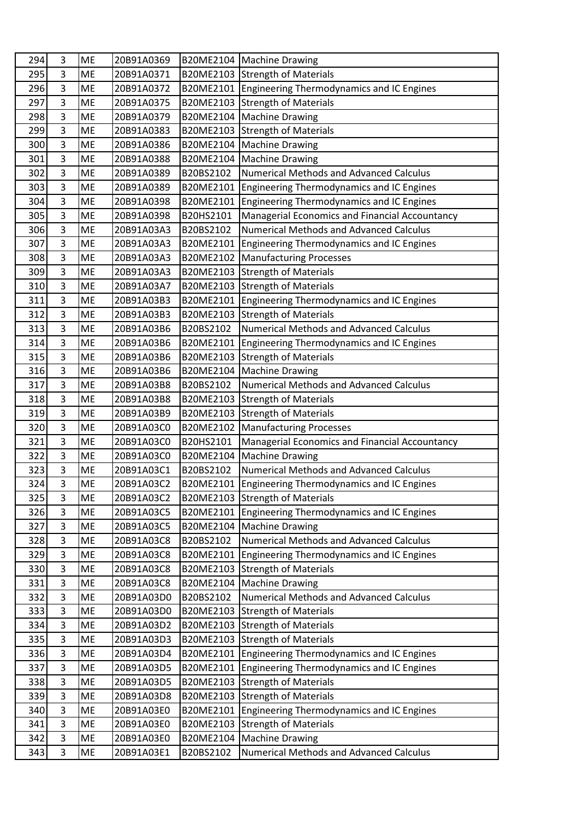| 294 | 3              | <b>ME</b> | 20B91A0369 | B20ME2104 | Machine Drawing                                  |
|-----|----------------|-----------|------------|-----------|--------------------------------------------------|
| 295 | 3              | <b>ME</b> | 20B91A0371 | B20ME2103 | Strength of Materials                            |
| 296 | 3              | <b>ME</b> | 20B91A0372 | B20ME2101 | Engineering Thermodynamics and IC Engines        |
| 297 | 3              | <b>ME</b> | 20B91A0375 | B20ME2103 | <b>Strength of Materials</b>                     |
| 298 | 3              | <b>ME</b> | 20B91A0379 | B20ME2104 | Machine Drawing                                  |
| 299 | 3              | <b>ME</b> | 20B91A0383 | B20ME2103 | <b>Strength of Materials</b>                     |
| 300 | 3              | ME        | 20B91A0386 | B20ME2104 | <b>Machine Drawing</b>                           |
| 301 | $\overline{3}$ | <b>ME</b> | 20B91A0388 | B20ME2104 | <b>Machine Drawing</b>                           |
| 302 | 3              | ME        | 20B91A0389 | B20BS2102 | <b>Numerical Methods and Advanced Calculus</b>   |
| 303 | $\overline{3}$ | <b>ME</b> | 20B91A0389 | B20ME2101 | Engineering Thermodynamics and IC Engines        |
| 304 | 3              | ME        | 20B91A0398 | B20ME2101 | <b>Engineering Thermodynamics and IC Engines</b> |
| 305 | 3              | <b>ME</b> | 20B91A0398 | B20HS2101 | Managerial Economics and Financial Accountancy   |
| 306 | 3              | <b>ME</b> | 20B91A03A3 | B20BS2102 | <b>Numerical Methods and Advanced Calculus</b>   |
| 307 | $\overline{3}$ | ME        | 20B91A03A3 | B20ME2101 | Engineering Thermodynamics and IC Engines        |
| 308 | 3              | <b>ME</b> | 20B91A03A3 | B20ME2102 | <b>Manufacturing Processes</b>                   |
| 309 | 3              | ME        | 20B91A03A3 | B20ME2103 | <b>Strength of Materials</b>                     |
| 310 | 3              | <b>ME</b> | 20B91A03A7 | B20ME2103 | <b>Strength of Materials</b>                     |
| 311 | 3              | <b>ME</b> | 20B91A03B3 | B20ME2101 | Engineering Thermodynamics and IC Engines        |
| 312 | 3              | <b>ME</b> | 20B91A03B3 | B20ME2103 | <b>Strength of Materials</b>                     |
| 313 | 3              | <b>ME</b> | 20B91A03B6 | B20BS2102 | <b>Numerical Methods and Advanced Calculus</b>   |
| 314 | 3              | ME        | 20B91A03B6 | B20ME2101 | Engineering Thermodynamics and IC Engines        |
| 315 | $\overline{3}$ | <b>ME</b> | 20B91A03B6 | B20ME2103 | <b>Strength of Materials</b>                     |
| 316 | $\overline{3}$ | <b>ME</b> | 20B91A03B6 | B20ME2104 | <b>Machine Drawing</b>                           |
| 317 | 3              | <b>ME</b> | 20B91A03B8 | B20BS2102 | <b>Numerical Methods and Advanced Calculus</b>   |
| 318 | 3              | ME        | 20B91A03B8 | B20ME2103 | <b>Strength of Materials</b>                     |
| 319 | 3              | <b>ME</b> | 20B91A03B9 | B20ME2103 | <b>Strength of Materials</b>                     |
| 320 | $\overline{3}$ | <b>ME</b> | 20B91A03C0 | B20ME2102 | <b>Manufacturing Processes</b>                   |
| 321 | 3              | ME        | 20B91A03C0 | B20HS2101 | Managerial Economics and Financial Accountancy   |
| 322 | $\overline{3}$ | <b>ME</b> | 20B91A03C0 | B20ME2104 | <b>Machine Drawing</b>                           |
| 323 | 3              | <b>ME</b> | 20B91A03C1 | B20BS2102 | <b>Numerical Methods and Advanced Calculus</b>   |
| 324 | 3              | <b>ME</b> | 20B91A03C2 | B20ME2101 | Engineering Thermodynamics and IC Engines        |
| 325 | 3              | <b>ME</b> | 20B91A03C2 | B20ME2103 | <b>Strength of Materials</b>                     |
| 326 | 3              | ME        | 20B91A03C5 | B20ME2101 | Engineering Thermodynamics and IC Engines        |
| 327 | $\overline{3}$ | ME        | 20B91A03C5 | B20ME2104 | <b>Machine Drawing</b>                           |
| 328 | 3              | ME        | 20B91A03C8 | B20BS2102 | <b>Numerical Methods and Advanced Calculus</b>   |
| 329 | $\overline{3}$ | ME        | 20B91A03C8 | B20ME2101 | Engineering Thermodynamics and IC Engines        |
| 330 | 3              | ME        | 20B91A03C8 | B20ME2103 | <b>Strength of Materials</b>                     |
| 331 | 3              | ME        | 20B91A03C8 | B20ME2104 | <b>Machine Drawing</b>                           |
| 332 | 3              | ME        | 20B91A03D0 | B20BS2102 | <b>Numerical Methods and Advanced Calculus</b>   |
| 333 | $\overline{3}$ | ME        | 20B91A03D0 | B20ME2103 | <b>Strength of Materials</b>                     |
| 334 | $\overline{3}$ | ME        | 20B91A03D2 | B20ME2103 | <b>Strength of Materials</b>                     |
| 335 | 3              | ME        | 20B91A03D3 | B20ME2103 | <b>Strength of Materials</b>                     |
| 336 | 3              | ME        | 20B91A03D4 | B20ME2101 | Engineering Thermodynamics and IC Engines        |
| 337 | 3              | ME        | 20B91A03D5 | B20ME2101 | <b>Engineering Thermodynamics and IC Engines</b> |
| 338 | 3              | ME        | 20B91A03D5 | B20ME2103 | <b>Strength of Materials</b>                     |
| 339 | 3<br>3         | ME        | 20B91A03D8 | B20ME2103 | <b>Strength of Materials</b>                     |
| 340 | 3              | ME        | 20B91A03E0 | B20ME2101 | Engineering Thermodynamics and IC Engines        |
| 341 |                | ME        | 20B91A03E0 | B20ME2103 | <b>Strength of Materials</b>                     |
| 342 | 3              | ME        | 20B91A03E0 | B20ME2104 | <b>Machine Drawing</b>                           |
| 343 | 3              | ME        | 20B91A03E1 | B20BS2102 | <b>Numerical Methods and Advanced Calculus</b>   |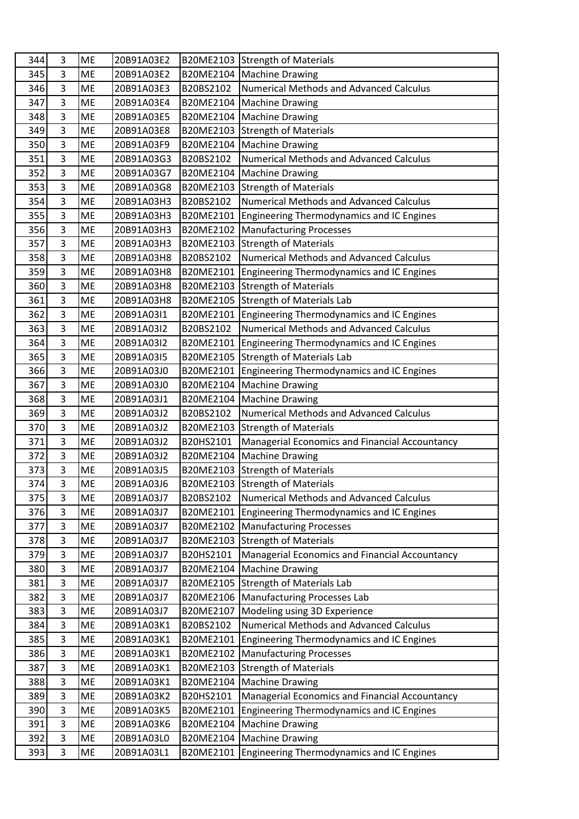| 344 | 3              | <b>ME</b> | 20B91A03E2 | B20ME2103 | <b>Strength of Materials</b>                     |
|-----|----------------|-----------|------------|-----------|--------------------------------------------------|
| 345 | 3              | <b>ME</b> | 20B91A03E2 | B20ME2104 | Machine Drawing                                  |
| 346 | 3              | <b>ME</b> | 20B91A03E3 | B20BS2102 | <b>Numerical Methods and Advanced Calculus</b>   |
| 347 | 3              | <b>ME</b> | 20B91A03E4 | B20ME2104 | Machine Drawing                                  |
| 348 | 3              | <b>ME</b> | 20B91A03E5 | B20ME2104 | Machine Drawing                                  |
| 349 | 3              | <b>ME</b> | 20B91A03E8 | B20ME2103 | <b>Strength of Materials</b>                     |
| 350 | 3              | ME        | 20B91A03F9 | B20ME2104 | <b>Machine Drawing</b>                           |
| 351 | $\overline{3}$ | <b>ME</b> | 20B91A03G3 | B20BS2102 | <b>Numerical Methods and Advanced Calculus</b>   |
| 352 | 3              | ME        | 20B91A03G7 | B20ME2104 | Machine Drawing                                  |
| 353 | $\overline{3}$ | <b>ME</b> | 20B91A03G8 | B20ME2103 | <b>Strength of Materials</b>                     |
| 354 | $\overline{3}$ | ME        | 20B91A03H3 | B20BS2102 | <b>Numerical Methods and Advanced Calculus</b>   |
| 355 | 3              | <b>ME</b> | 20B91A03H3 | B20ME2101 | Engineering Thermodynamics and IC Engines        |
| 356 | 3              | <b>ME</b> | 20B91A03H3 | B20ME2102 | <b>Manufacturing Processes</b>                   |
| 357 | $\overline{3}$ | ME        | 20B91A03H3 | B20ME2103 | <b>Strength of Materials</b>                     |
| 358 | 3              | <b>ME</b> | 20B91A03H8 | B20BS2102 | <b>Numerical Methods and Advanced Calculus</b>   |
| 359 | 3              | ME        | 20B91A03H8 | B20ME2101 | Engineering Thermodynamics and IC Engines        |
| 360 | 3              | <b>ME</b> | 20B91A03H8 | B20ME2103 | <b>Strength of Materials</b>                     |
| 361 | 3              | <b>ME</b> | 20B91A03H8 | B20ME2105 | Strength of Materials Lab                        |
| 362 | 3              | ME        | 20B91A03I1 | B20ME2101 | Engineering Thermodynamics and IC Engines        |
| 363 | 3              | <b>ME</b> | 20B91A03I2 | B20BS2102 | <b>Numerical Methods and Advanced Calculus</b>   |
| 364 | 3              | ME        | 20B91A03I2 | B20ME2101 | Engineering Thermodynamics and IC Engines        |
| 365 | $\overline{3}$ | <b>ME</b> | 20B91A03I5 | B20ME2105 | Strength of Materials Lab                        |
| 366 | $\overline{3}$ | ME        | 20B91A03J0 | B20ME2101 | <b>Engineering Thermodynamics and IC Engines</b> |
| 367 | 3              | <b>ME</b> | 20B91A03J0 | B20ME2104 | Machine Drawing                                  |
| 368 | 3              | ME        | 20B91A03J1 | B20ME2104 | <b>Machine Drawing</b>                           |
| 369 | 3              | <b>ME</b> | 20B91A03J2 | B20BS2102 | <b>Numerical Methods and Advanced Calculus</b>   |
| 370 | $\overline{3}$ | <b>ME</b> | 20B91A03J2 | B20ME2103 | <b>Strength of Materials</b>                     |
| 371 | 3              | ME        | 20B91A03J2 | B20HS2101 | Managerial Economics and Financial Accountancy   |
| 372 | $\overline{3}$ | <b>ME</b> | 20B91A03J2 | B20ME2104 | <b>Machine Drawing</b>                           |
| 373 | 3              | ME        | 20B91A03J5 | B20ME2103 | <b>Strength of Materials</b>                     |
| 374 | 3              | ME        | 20B91A03J6 |           | B20ME2103 Strength of Materials                  |
| 375 | 3              | <b>ME</b> | 20B91A03J7 | B20BS2102 | <b>Numerical Methods and Advanced Calculus</b>   |
| 376 | 3              | ME        | 20B91A03J7 | B20ME2101 | <b>Engineering Thermodynamics and IC Engines</b> |
| 377 | $\overline{3}$ | ME        | 20B91A03J7 | B20ME2102 | <b>Manufacturing Processes</b>                   |
| 378 | 3              | ME        | 20B91A03J7 | B20ME2103 | <b>Strength of Materials</b>                     |
| 379 | 3              | ME        | 20B91A03J7 | B20HS2101 | Managerial Economics and Financial Accountancy   |
| 380 | 3              | ME        | 20B91A03J7 | B20ME2104 | <b>Machine Drawing</b>                           |
| 381 | 3              | ME        | 20B91A03J7 | B20ME2105 | Strength of Materials Lab                        |
| 382 | 3              | ME        | 20B91A03J7 | B20ME2106 | Manufacturing Processes Lab                      |
| 383 | $\overline{3}$ | ME        | 20B91A03J7 | B20ME2107 | Modeling using 3D Experience                     |
| 384 | $\overline{3}$ | ME        | 20B91A03K1 | B20BS2102 | <b>Numerical Methods and Advanced Calculus</b>   |
| 385 | 3              | ME        | 20B91A03K1 | B20ME2101 | <b>Engineering Thermodynamics and IC Engines</b> |
| 386 | 3              | ME        | 20B91A03K1 | B20ME2102 | Manufacturing Processes                          |
| 387 | 3              | ME        | 20B91A03K1 | B20ME2103 | <b>Strength of Materials</b>                     |
| 388 | 3              | ME        | 20B91A03K1 | B20ME2104 | <b>Machine Drawing</b>                           |
| 389 | 3              | ME        | 20B91A03K2 | B20HS2101 | Managerial Economics and Financial Accountancy   |
| 390 | 3              | ME        | 20B91A03K5 | B20ME2101 | <b>Engineering Thermodynamics and IC Engines</b> |
| 391 | 3              | ME        | 20B91A03K6 | B20ME2104 | <b>Machine Drawing</b>                           |
| 392 | 3              | ME        | 20B91A03L0 | B20ME2104 | <b>Machine Drawing</b>                           |
| 393 | 3              | ME        | 20B91A03L1 | B20ME2101 | Engineering Thermodynamics and IC Engines        |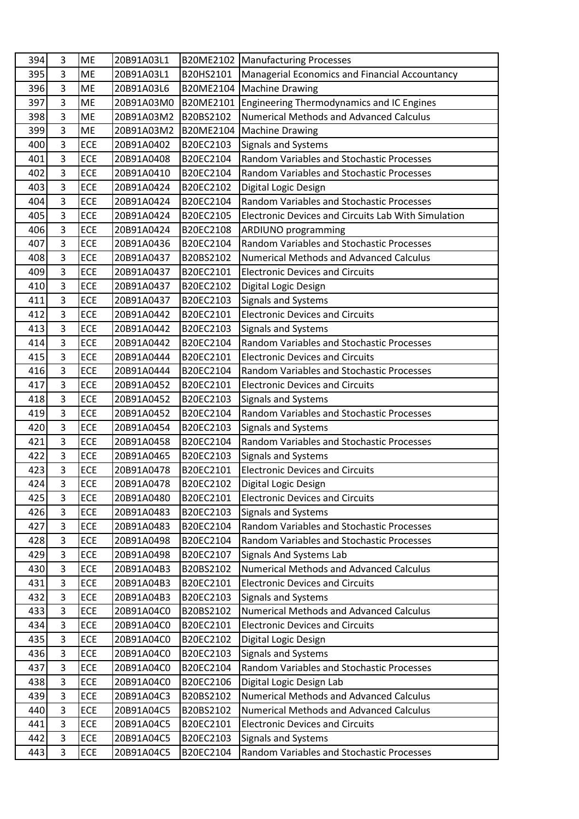| 394 | 3              | <b>ME</b>  | 20B91A03L1 | B20ME2102        | Manufacturing Processes                                    |
|-----|----------------|------------|------------|------------------|------------------------------------------------------------|
| 395 | 3              | <b>ME</b>  | 20B91A03L1 | B20HS2101        | Managerial Economics and Financial Accountancy             |
| 396 | $\overline{3}$ | ME         | 20B91A03L6 | B20ME2104        | Machine Drawing                                            |
| 397 | 3              | ME         | 20B91A03M0 | B20ME2101        | Engineering Thermodynamics and IC Engines                  |
| 398 | 3              | <b>ME</b>  | 20B91A03M2 | B20BS2102        | <b>Numerical Methods and Advanced Calculus</b>             |
| 399 | 3              | <b>ME</b>  | 20B91A03M2 | <b>B20ME2104</b> | <b>Machine Drawing</b>                                     |
| 400 | $\overline{3}$ | ECE        | 20B91A0402 | B20EC2103        | Signals and Systems                                        |
| 401 | 3              | ECE        | 20B91A0408 | B20EC2104        | <b>Random Variables and Stochastic Processes</b>           |
| 402 | $\overline{3}$ | ECE        | 20B91A0410 | B20EC2104        | Random Variables and Stochastic Processes                  |
| 403 | 3              | ECE        | 20B91A0424 | B20EC2102        | Digital Logic Design                                       |
| 404 | 3              | ECE        | 20B91A0424 | B20EC2104        | <b>Random Variables and Stochastic Processes</b>           |
| 405 | $\overline{3}$ | ECE        | 20B91A0424 | B20EC2105        | <b>Electronic Devices and Circuits Lab With Simulation</b> |
| 406 | 3              | ECE        | 20B91A0424 | B20EC2108        | ARDIUNO programming                                        |
| 407 | 3              | ECE        | 20B91A0436 | B20EC2104        | <b>Random Variables and Stochastic Processes</b>           |
| 408 | $\overline{3}$ | ECE        | 20B91A0437 | B20BS2102        | <b>Numerical Methods and Advanced Calculus</b>             |
| 409 | $\overline{3}$ | ECE        | 20B91A0437 | B20EC2101        | <b>Electronic Devices and Circuits</b>                     |
| 410 | 3              | ECE        | 20B91A0437 | B20EC2102        | Digital Logic Design                                       |
| 411 | 3              | ECE        | 20B91A0437 | B20EC2103        | <b>Signals and Systems</b>                                 |
| 412 | 3              | ECE        | 20B91A0442 | B20EC2101        | <b>Electronic Devices and Circuits</b>                     |
| 413 | 3              | ECE        | 20B91A0442 | B20EC2103        | Signals and Systems                                        |
| 414 | 3              | ECE        | 20B91A0442 | B20EC2104        | <b>Random Variables and Stochastic Processes</b>           |
| 415 | 3              | ECE        | 20B91A0444 | B20EC2101        | <b>Electronic Devices and Circuits</b>                     |
| 416 | $\overline{3}$ | ECE        | 20B91A0444 | B20EC2104        | Random Variables and Stochastic Processes                  |
| 417 | 3              | ECE        | 20B91A0452 | B20EC2101        | <b>Electronic Devices and Circuits</b>                     |
| 418 | 3              | ECE        | 20B91A0452 | B20EC2103        | Signals and Systems                                        |
| 419 | $\overline{3}$ | ECE        | 20B91A0452 | B20EC2104        | Random Variables and Stochastic Processes                  |
| 420 | 3              | ECE        | 20B91A0454 | B20EC2103        | <b>Signals and Systems</b>                                 |
| 421 | $\overline{3}$ | ECE        | 20B91A0458 | B20EC2104        | Random Variables and Stochastic Processes                  |
| 422 | 3              | ECE        | 20B91A0465 | B20EC2103        | Signals and Systems                                        |
| 423 | 3              | ECE        | 20B91A0478 | B20EC2101        | <b>Electronic Devices and Circuits</b>                     |
| 424 | $\overline{3}$ | ECE        | 20B91A0478 | B20EC2102        | Digital Logic Design                                       |
| 425 | 3              | ECE        | 20B91A0480 | B20EC2101        | <b>Electronic Devices and Circuits</b>                     |
| 426 | 3              | ECE        | 20B91A0483 | B20EC2103        | <b>Signals and Systems</b>                                 |
| 427 | $\overline{3}$ | ECE        | 20B91A0483 | B20EC2104        | <b>Random Variables and Stochastic Processes</b>           |
| 428 | 3              | ECE        | 20B91A0498 | B20EC2104        | Random Variables and Stochastic Processes                  |
| 429 | 3              | ECE        | 20B91A0498 | B20EC2107        | Signals And Systems Lab                                    |
| 430 | 3              | ECE        | 20B91A04B3 | B20BS2102        | <b>Numerical Methods and Advanced Calculus</b>             |
| 431 | 3              | ECE        | 20B91A04B3 | B20EC2101        | <b>Electronic Devices and Circuits</b>                     |
| 432 | 3              | ECE        | 20B91A04B3 | B20EC2103        | <b>Signals and Systems</b>                                 |
| 433 | $\overline{3}$ | ECE        | 20B91A04C0 | B20BS2102        | Numerical Methods and Advanced Calculus                    |
| 434 | 3              | ECE        | 20B91A04C0 | B20EC2101        | <b>Electronic Devices and Circuits</b>                     |
| 435 | 3              | ECE        | 20B91A04C0 | B20EC2102        | Digital Logic Design                                       |
| 436 | 3              | ECE        | 20B91A04C0 | B20EC2103        | <b>Signals and Systems</b>                                 |
| 437 | 3              | <b>ECE</b> | 20B91A04C0 | B20EC2104        | Random Variables and Stochastic Processes                  |
| 438 | 3              | ECE        | 20B91A04C0 | B20EC2106        | Digital Logic Design Lab                                   |
| 439 | 3              | ECE        | 20B91A04C3 | B20BS2102        | <b>Numerical Methods and Advanced Calculus</b>             |
| 440 | $\overline{3}$ | ECE        | 20B91A04C5 | B20BS2102        | <b>Numerical Methods and Advanced Calculus</b>             |
| 441 | 3              | ECE        | 20B91A04C5 | B20EC2101        | <b>Electronic Devices and Circuits</b>                     |
| 442 | 3              | ECE        | 20B91A04C5 | B20EC2103        | <b>Signals and Systems</b>                                 |
| 443 | 3              | ECE        | 20B91A04C5 | B20EC2104        | Random Variables and Stochastic Processes                  |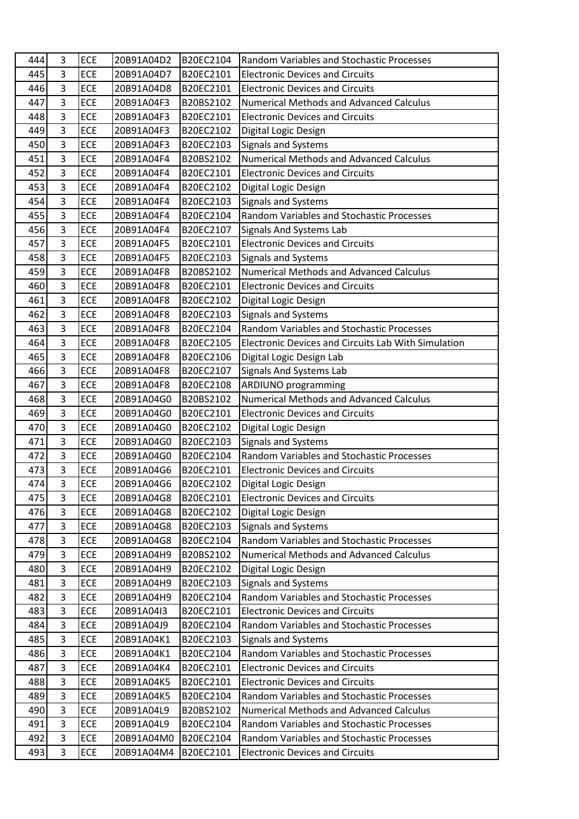| 444 | 3              | ECE | 20B91A04D2 | B20EC2104 | <b>Random Variables and Stochastic Processes</b>    |
|-----|----------------|-----|------------|-----------|-----------------------------------------------------|
| 445 | 3              | ECE | 20B91A04D7 | B20EC2101 | <b>Electronic Devices and Circuits</b>              |
| 446 | $\overline{3}$ | ECE | 20B91A04D8 | B20EC2101 | <b>Electronic Devices and Circuits</b>              |
| 447 | 3              | ECE | 20B91A04F3 | B20BS2102 | <b>Numerical Methods and Advanced Calculus</b>      |
| 448 | 3              | ECE | 20B91A04F3 | B20EC2101 | <b>Electronic Devices and Circuits</b>              |
| 449 | 3              | ECE | 20B91A04F3 | B20EC2102 | Digital Logic Design                                |
| 450 | $\overline{3}$ | ECE | 20B91A04F3 | B20EC2103 | Signals and Systems                                 |
| 451 | $\overline{3}$ | ECE | 20B91A04F4 | B20BS2102 | <b>Numerical Methods and Advanced Calculus</b>      |
| 452 | $\overline{3}$ | ECE | 20B91A04F4 | B20EC2101 | <b>Electronic Devices and Circuits</b>              |
| 453 | $\overline{3}$ | ECE | 20B91A04F4 | B20EC2102 | Digital Logic Design                                |
| 454 | 3              | ECE | 20B91A04F4 | B20EC2103 | Signals and Systems                                 |
| 455 | 3              | ECE | 20B91A04F4 | B20EC2104 | <b>Random Variables and Stochastic Processes</b>    |
| 456 | $\overline{3}$ | ECE | 20B91A04F4 | B20EC2107 | Signals And Systems Lab                             |
| 457 | $\overline{3}$ | ECE | 20B91A04F5 | B20EC2101 | <b>Electronic Devices and Circuits</b>              |
| 458 | $\overline{3}$ | ECE | 20B91A04F5 | B20EC2103 | <b>Signals and Systems</b>                          |
| 459 | 3              | ECE | 20B91A04F8 | B20BS2102 | <b>Numerical Methods and Advanced Calculus</b>      |
| 460 | $\overline{3}$ | ECE | 20B91A04F8 | B20EC2101 | <b>Electronic Devices and Circuits</b>              |
| 461 | 3              | ECE | 20B91A04F8 | B20EC2102 | Digital Logic Design                                |
| 462 | 3              | ECE | 20B91A04F8 | B20EC2103 | <b>Signals and Systems</b>                          |
| 463 | $\overline{3}$ | ECE | 20B91A04F8 | B20EC2104 | Random Variables and Stochastic Processes           |
| 464 | $\overline{3}$ | ECE | 20B91A04F8 | B20EC2105 | Electronic Devices and Circuits Lab With Simulation |
| 465 | $\overline{3}$ | ECE | 20B91A04F8 | B20EC2106 | Digital Logic Design Lab                            |
| 466 | 3              | ECE | 20B91A04F8 | B20EC2107 | <b>Signals And Systems Lab</b>                      |
| 467 | $\overline{3}$ | ECE | 20B91A04F8 | B20EC2108 | <b>ARDIUNO</b> programming                          |
| 468 | 3              | ECE | 20B91A04G0 | B20BS2102 | <b>Numerical Methods and Advanced Calculus</b>      |
| 469 | $\overline{3}$ | ECE | 20B91A04G0 | B20EC2101 | <b>Electronic Devices and Circuits</b>              |
| 470 | $\overline{3}$ | ECE | 20B91A04G0 | B20EC2102 | Digital Logic Design                                |
| 471 | 3              | ECE | 20B91A04G0 | B20EC2103 | <b>Signals and Systems</b>                          |
| 472 | $\overline{3}$ | ECE | 20B91A04G0 | B20EC2104 | <b>Random Variables and Stochastic Processes</b>    |
| 473 | 3              | ECE | 20B91A04G6 | B20EC2101 | <b>Electronic Devices and Circuits</b>              |
| 474 | 3              | ECE | 20B91A04G6 | B20EC2102 | Digital Logic Design                                |
| 475 | 3              | ECE | 20B91A04G8 | B20EC2101 | <b>Electronic Devices and Circuits</b>              |
| 476 | $\overline{3}$ | ECE | 20B91A04G8 | B20EC2102 | Digital Logic Design                                |
| 477 | 3              | ECE | 20B91A04G8 | B20EC2103 | <b>Signals and Systems</b>                          |
| 478 | 3              | ECE | 20B91A04G8 | B20EC2104 | Random Variables and Stochastic Processes           |
| 479 | 3              | ECE | 20B91A04H9 | B20BS2102 | Numerical Methods and Advanced Calculus             |
| 480 | 3              | ECE | 20B91A04H9 | B20EC2102 | Digital Logic Design                                |
| 481 | 3              | ECE | 20B91A04H9 | B20EC2103 | <b>Signals and Systems</b>                          |
| 482 | 3              | ECE | 20B91A04H9 | B20EC2104 | Random Variables and Stochastic Processes           |
| 483 | $\overline{3}$ | ECE | 20B91A04I3 | B20EC2101 | <b>Electronic Devices and Circuits</b>              |
| 484 | $\overline{3}$ | ECE | 20B91A04J9 | B20EC2104 | Random Variables and Stochastic Processes           |
| 485 | 3              | ECE | 20B91A04K1 | B20EC2103 | <b>Signals and Systems</b>                          |
| 486 | $\overline{3}$ | ECE | 20B91A04K1 | B20EC2104 | Random Variables and Stochastic Processes           |
| 487 | 3              | ECE | 20B91A04K4 | B20EC2101 | <b>Electronic Devices and Circuits</b>              |
| 488 | 3              | ECE | 20B91A04K5 | B20EC2101 | <b>Electronic Devices and Circuits</b>              |
| 489 | $\overline{3}$ | ECE | 20B91A04K5 | B20EC2104 | <b>Random Variables and Stochastic Processes</b>    |
| 490 | 3              | ECE | 20B91A04L9 | B20BS2102 | <b>Numerical Methods and Advanced Calculus</b>      |
| 491 | 3              | ECE | 20B91A04L9 | B20EC2104 | Random Variables and Stochastic Processes           |
| 492 | 3              | ECE | 20B91A04M0 | B20EC2104 | Random Variables and Stochastic Processes           |
| 493 | 3              | ECE | 20B91A04M4 | B20EC2101 | <b>Electronic Devices and Circuits</b>              |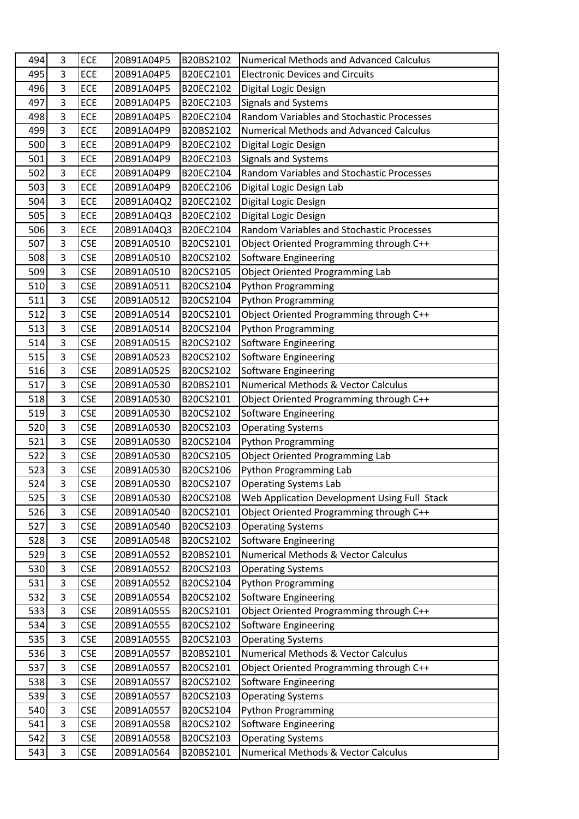| 494        | 3              | ECE                      | 20B91A04P5               | B20BS2102              | <b>Numerical Methods and Advanced Calculus</b>                  |
|------------|----------------|--------------------------|--------------------------|------------------------|-----------------------------------------------------------------|
| 495        | 3              | ECE                      | 20B91A04P5               | B20EC2101              | <b>Electronic Devices and Circuits</b>                          |
| 496        | $\overline{3}$ | ECE                      | 20B91A04P5               | B20EC2102              | Digital Logic Design                                            |
| 497        | 3              | ECE                      | 20B91A04P5               | B20EC2103              | Signals and Systems                                             |
| 498        | $\overline{3}$ | ECE                      | 20B91A04P5               | B20EC2104              | Random Variables and Stochastic Processes                       |
| 499        | 3              | ECE                      | 20B91A04P9               | B20BS2102              | <b>Numerical Methods and Advanced Calculus</b>                  |
| 500        | 3              | ECE                      | 20B91A04P9               | B20EC2102              | Digital Logic Design                                            |
| 501        | 3              | ECE                      | 20B91A04P9               | B20EC2103              | Signals and Systems                                             |
| 502        | $\overline{3}$ | ECE                      | 20B91A04P9               | B20EC2104              | Random Variables and Stochastic Processes                       |
| 503        | 3              | ECE                      | 20B91A04P9               | B20EC2106              | Digital Logic Design Lab                                        |
| 504        | $\overline{3}$ | ECE                      | 20B91A04Q2               | B20EC2102              | Digital Logic Design                                            |
| 505        | $\overline{3}$ | ECE                      | 20B91A04Q3               | B20EC2102              | Digital Logic Design                                            |
| 506        | 3              | ECE                      | 20B91A04Q3               | B20EC2104              | Random Variables and Stochastic Processes                       |
| 507        | $\overline{3}$ | <b>CSE</b>               | 20B91A0510               | B20CS2101              | Object Oriented Programming through C++                         |
| 508        | 3              | <b>CSE</b>               | 20B91A0510               | B20CS2102              | Software Engineering                                            |
| 509        | $\overline{3}$ | <b>CSE</b>               | 20B91A0510               | B20CS2105              | <b>Object Oriented Programming Lab</b>                          |
| 510        | 3              | <b>CSE</b>               | 20B91A0511               | B20CS2104              | <b>Python Programming</b>                                       |
| 511        | 3              | <b>CSE</b>               | 20B91A0512               | B20CS2104              | Python Programming                                              |
| 512        | 3              | <b>CSE</b>               | 20B91A0514               | B20CS2101              | Object Oriented Programming through C++                         |
| 513        | 3              | <b>CSE</b>               | 20B91A0514               | B20CS2104              | Python Programming                                              |
| 514        | $\overline{3}$ | <b>CSE</b>               | 20B91A0515               | B20CS2102              | <b>Software Engineering</b>                                     |
| 515        | $\overline{3}$ | <b>CSE</b>               | 20B91A0523               | B20CS2102              | <b>Software Engineering</b>                                     |
| 516        | 3              | <b>CSE</b>               | 20B91A0525               | B20CS2102              | <b>Software Engineering</b>                                     |
| 517        | $\overline{3}$ | <b>CSE</b>               | 20B91A0530               | B20BS2101              | Numerical Methods & Vector Calculus                             |
| 518        | $\overline{3}$ | <b>CSE</b>               | 20B91A0530               | B20CS2101              | Object Oriented Programming through C++                         |
| 519        | 3              | <b>CSE</b>               | 20B91A0530               | B20CS2102              | <b>Software Engineering</b>                                     |
| 520        | 3              | <b>CSE</b>               | 20B91A0530               | B20CS2103              | <b>Operating Systems</b>                                        |
| 521        | 3              | <b>CSE</b>               | 20B91A0530               | B20CS2104              | <b>Python Programming</b>                                       |
| 522        | 3              | <b>CSE</b>               | 20B91A0530               | B20CS2105              | <b>Object Oriented Programming Lab</b>                          |
| 523        | 3              | <b>CSE</b>               | 20B91A0530               | B20CS2106              | Python Programming Lab                                          |
| 524        | 3              | <b>CSE</b>               | 20B91A0530               | B20CS2107              | <b>Operating Systems Lab</b>                                    |
| 525        | 3              | <b>CSE</b>               | 20B91A0530               | B20CS2108              | Web Application Development Using Full Stack                    |
| 526        | $\overline{3}$ | <b>CSE</b>               | 20B91A0540               | B20CS2101              | Object Oriented Programming through C++                         |
| 527        | 3              | <b>CSE</b>               | 20B91A0540               | B20CS2103              | <b>Operating Systems</b>                                        |
| 528        | $\overline{3}$ | <b>CSE</b>               | 20B91A0548               | B20CS2102              | <b>Software Engineering</b>                                     |
| 529        | 3              | <b>CSE</b>               | 20B91A0552               | B20BS2101              | <b>Numerical Methods &amp; Vector Calculus</b>                  |
| 530        | 3              | <b>CSE</b>               | 20B91A0552               | B20CS2103              | <b>Operating Systems</b>                                        |
| 531        | 3              | <b>CSE</b>               | 20B91A0552               | B20CS2104              | <b>Python Programming</b>                                       |
| 532        | 3              | <b>CSE</b>               | 20B91A0554               | B20CS2102              | <b>Software Engineering</b>                                     |
| 533        | 3              | <b>CSE</b>               | 20B91A0555               | B20CS2101              | Object Oriented Programming through C++                         |
| 534        | $\overline{3}$ | <b>CSE</b>               | 20B91A0555               | B20CS2102              | <b>Software Engineering</b>                                     |
| 535        | 3              | <b>CSE</b>               | 20B91A0555               | B20CS2103              | <b>Operating Systems</b>                                        |
| 536        | 3              | <b>CSE</b>               | 20B91A0557               | B20BS2101              | Numerical Methods & Vector Calculus                             |
| 537        | 3              | <b>CSE</b>               | 20B91A0557               | B20CS2101              | Object Oriented Programming through C++                         |
| 538        | $\overline{3}$ | <b>CSE</b>               | 20B91A0557               | B20CS2102              | Software Engineering                                            |
| 539        |                | <b>CSE</b>               | 20B91A0557               | B20CS2103              | <b>Operating Systems</b>                                        |
|            | 3              |                          |                          |                        |                                                                 |
| 540        | $\overline{3}$ | <b>CSE</b>               | 20B91A0557               | B20CS2104              | <b>Python Programming</b>                                       |
| 541        | 3              | <b>CSE</b>               | 20B91A0558               | B20CS2102              | <b>Software Engineering</b>                                     |
| 542<br>543 | 3<br>3         | <b>CSE</b><br><b>CSE</b> | 20B91A0558<br>20B91A0564 | B20CS2103<br>B20BS2101 | <b>Operating Systems</b><br>Numerical Methods & Vector Calculus |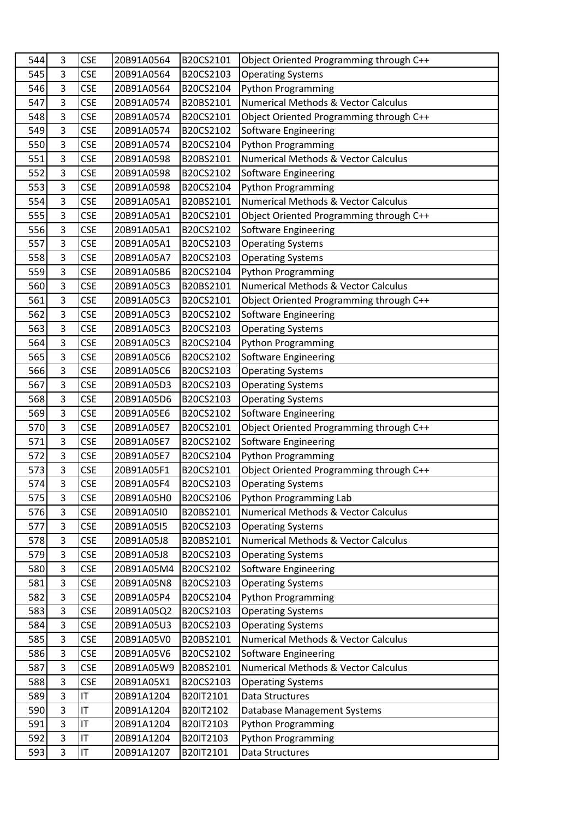| 544 | 3              | <b>CSE</b> | 20B91A0564 | B20CS2101 | Object Oriented Programming through C++        |
|-----|----------------|------------|------------|-----------|------------------------------------------------|
| 545 | 3              | <b>CSE</b> | 20B91A0564 | B20CS2103 | <b>Operating Systems</b>                       |
| 546 | 3              | CSE        | 20B91A0564 | B20CS2104 | <b>Python Programming</b>                      |
| 547 | 3              | <b>CSE</b> | 20B91A0574 | B20BS2101 | Numerical Methods & Vector Calculus            |
| 548 | 3              | <b>CSE</b> | 20B91A0574 | B20CS2101 | Object Oriented Programming through C++        |
| 549 | 3              | <b>CSE</b> | 20B91A0574 | B20CS2102 | <b>Software Engineering</b>                    |
| 550 | 3              | <b>CSE</b> | 20B91A0574 | B20CS2104 | <b>Python Programming</b>                      |
| 551 | $\overline{3}$ | <b>CSE</b> | 20B91A0598 | B20BS2101 | <b>Numerical Methods &amp; Vector Calculus</b> |
| 552 | 3              | <b>CSE</b> | 20B91A0598 | B20CS2102 | <b>Software Engineering</b>                    |
| 553 | 3              | <b>CSE</b> | 20B91A0598 | B20CS2104 | <b>Python Programming</b>                      |
| 554 | 3              | <b>CSE</b> | 20B91A05A1 | B20BS2101 | <b>Numerical Methods &amp; Vector Calculus</b> |
| 555 | 3              | <b>CSE</b> | 20B91A05A1 | B20CS2101 | Object Oriented Programming through C++        |
| 556 | 3              | <b>CSE</b> | 20B91A05A1 | B20CS2102 | Software Engineering                           |
| 557 | $\overline{3}$ | <b>CSE</b> | 20B91A05A1 | B20CS2103 | <b>Operating Systems</b>                       |
| 558 | 3              | <b>CSE</b> | 20B91A05A7 | B20CS2103 | <b>Operating Systems</b>                       |
| 559 | 3              | <b>CSE</b> | 20B91A05B6 | B20CS2104 | <b>Python Programming</b>                      |
| 560 | 3              | <b>CSE</b> | 20B91A05C3 | B20BS2101 | <b>Numerical Methods &amp; Vector Calculus</b> |
| 561 | 3              | <b>CSE</b> | 20B91A05C3 | B20CS2101 | Object Oriented Programming through C++        |
| 562 | 3              | <b>CSE</b> | 20B91A05C3 | B20CS2102 | <b>Software Engineering</b>                    |
| 563 | 3              | <b>CSE</b> | 20B91A05C3 | B20CS2103 | <b>Operating Systems</b>                       |
| 564 | 3              | <b>CSE</b> | 20B91A05C3 | B20CS2104 | <b>Python Programming</b>                      |
| 565 | 3              | <b>CSE</b> | 20B91A05C6 | B20CS2102 | <b>Software Engineering</b>                    |
| 566 | 3              | <b>CSE</b> | 20B91A05C6 | B20CS2103 | <b>Operating Systems</b>                       |
| 567 | 3              | <b>CSE</b> | 20B91A05D3 | B20CS2103 | <b>Operating Systems</b>                       |
| 568 | 3              | <b>CSE</b> | 20B91A05D6 | B20CS2103 | <b>Operating Systems</b>                       |
| 569 | 3              | <b>CSE</b> | 20B91A05E6 | B20CS2102 | Software Engineering                           |
| 570 | 3              | <b>CSE</b> | 20B91A05E7 | B20CS2101 | Object Oriented Programming through C++        |
| 571 | 3              | <b>CSE</b> | 20B91A05E7 | B20CS2102 | Software Engineering                           |
| 572 | 3              | <b>CSE</b> | 20B91A05E7 | B20CS2104 | <b>Python Programming</b>                      |
| 573 | 3              | <b>CSE</b> | 20B91A05F1 | B20CS2101 | Object Oriented Programming through C++        |
| 574 | 3              | <b>CSE</b> | 20B91A05F4 | B20CS2103 | <b>Operating Systems</b>                       |
| 575 | 3              | <b>CSE</b> | 20B91A05H0 | B20CS2106 | Python Programming Lab                         |
| 576 | 3              | <b>CSE</b> | 20B91A05I0 | B20BS2101 | <b>Numerical Methods &amp; Vector Calculus</b> |
| 577 | 3              | <b>CSE</b> | 20B91A05I5 | B20CS2103 | <b>Operating Systems</b>                       |
| 578 | 3              | <b>CSE</b> | 20B91A05J8 | B20BS2101 | Numerical Methods & Vector Calculus            |
| 579 | 3              | <b>CSE</b> | 20B91A05J8 | B20CS2103 | <b>Operating Systems</b>                       |
| 580 | 3              | <b>CSE</b> | 20B91A05M4 | B20CS2102 | <b>Software Engineering</b>                    |
| 581 | 3              | <b>CSE</b> | 20B91A05N8 | B20CS2103 | <b>Operating Systems</b>                       |
| 582 | 3              | <b>CSE</b> | 20B91A05P4 | B20CS2104 | <b>Python Programming</b>                      |
| 583 | $\overline{3}$ | <b>CSE</b> | 20B91A05Q2 | B20CS2103 | <b>Operating Systems</b>                       |
| 584 | 3              | <b>CSE</b> | 20B91A05U3 | B20CS2103 | <b>Operating Systems</b>                       |
| 585 | 3              | <b>CSE</b> | 20B91A05V0 | B20BS2101 | Numerical Methods & Vector Calculus            |
| 586 | 3              | <b>CSE</b> | 20B91A05V6 | B20CS2102 | <b>Software Engineering</b>                    |
| 587 | 3              | <b>CSE</b> | 20B91A05W9 | B20BS2101 | <b>Numerical Methods &amp; Vector Calculus</b> |
| 588 | 3              | <b>CSE</b> | 20B91A05X1 | B20CS2103 | <b>Operating Systems</b>                       |
| 589 | 3              | IT         | 20B91A1204 | B20IT2101 | Data Structures                                |
| 590 | 3              | IT         | 20B91A1204 | B20IT2102 | <b>Database Management Systems</b>             |
| 591 | 3              | IT         | 20B91A1204 | B20IT2103 | <b>Python Programming</b>                      |
| 592 | 3              | IT         | 20B91A1204 | B20IT2103 | <b>Python Programming</b>                      |
| 593 | 3              | IT         | 20B91A1207 | B20IT2101 | Data Structures                                |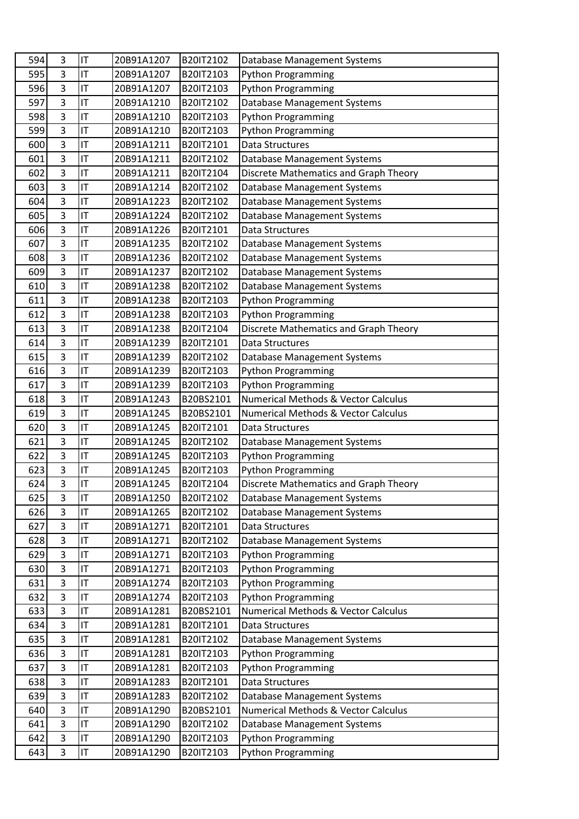| 594 | 3              | IT | 20B91A1207 | B20IT2102 | Database Management Systems                    |
|-----|----------------|----|------------|-----------|------------------------------------------------|
| 595 | 3              | IT | 20B91A1207 | B20IT2103 | <b>Python Programming</b>                      |
| 596 | 3              | IT | 20B91A1207 | B20IT2103 | <b>Python Programming</b>                      |
| 597 | 3              | IT | 20B91A1210 | B20IT2102 | Database Management Systems                    |
| 598 | 3              | IT | 20B91A1210 | B20IT2103 | <b>Python Programming</b>                      |
| 599 | 3              | IT | 20B91A1210 | B20IT2103 | <b>Python Programming</b>                      |
| 600 | 3              | IT | 20B91A1211 | B20IT2101 | Data Structures                                |
| 601 | 3              | IT | 20B91A1211 | B20IT2102 | Database Management Systems                    |
| 602 | 3              | IT | 20B91A1211 | B20IT2104 | Discrete Mathematics and Graph Theory          |
| 603 | 3              | IT | 20B91A1214 | B20IT2102 | Database Management Systems                    |
| 604 | 3              | IT | 20B91A1223 | B20IT2102 | <b>Database Management Systems</b>             |
| 605 | 3              | IT | 20B91A1224 | B20IT2102 | <b>Database Management Systems</b>             |
| 606 | 3              | IT | 20B91A1226 | B20IT2101 | Data Structures                                |
| 607 | 3              | IT | 20B91A1235 | B20IT2102 | <b>Database Management Systems</b>             |
| 608 | 3              | IT | 20B91A1236 | B20IT2102 | Database Management Systems                    |
| 609 | 3              | IT | 20B91A1237 | B20IT2102 | <b>Database Management Systems</b>             |
| 610 | 3              | IT | 20B91A1238 | B20IT2102 | Database Management Systems                    |
| 611 | 3              | IT | 20B91A1238 | B20IT2103 | <b>Python Programming</b>                      |
| 612 | 3              | IT | 20B91A1238 | B20IT2103 | <b>Python Programming</b>                      |
| 613 | 3              | IT | 20B91A1238 | B20IT2104 | Discrete Mathematics and Graph Theory          |
| 614 | 3              | IT | 20B91A1239 | B20IT2101 | <b>Data Structures</b>                         |
| 615 | 3              | IT | 20B91A1239 | B20IT2102 | Database Management Systems                    |
| 616 | 3              | IT | 20B91A1239 | B20IT2103 | <b>Python Programming</b>                      |
| 617 | $\overline{3}$ | IT | 20B91A1239 | B20IT2103 | <b>Python Programming</b>                      |
| 618 | 3              | IT | 20B91A1243 | B20BS2101 | <b>Numerical Methods &amp; Vector Calculus</b> |
| 619 | 3              | IT | 20B91A1245 | B20BS2101 | <b>Numerical Methods &amp; Vector Calculus</b> |
| 620 | 3              | IT | 20B91A1245 | B20IT2101 | Data Structures                                |
| 621 | 3              | IT | 20B91A1245 | B20IT2102 | <b>Database Management Systems</b>             |
| 622 | 3              | IT | 20B91A1245 | B20IT2103 | <b>Python Programming</b>                      |
| 623 | 3              | IT | 20B91A1245 | B20IT2103 | <b>Python Programming</b>                      |
| 624 | 3              | IT | 20B91A1245 | B20IT2104 | Discrete Mathematics and Graph Theory          |
| 625 | 3              | IT | 20B91A1250 | B20IT2102 | <b>Database Management Systems</b>             |
| 626 | 3              | IT | 20B91A1265 | B20IT2102 | <b>Database Management Systems</b>             |
| 627 | 3              | IT | 20B91A1271 | B20IT2101 | Data Structures                                |
| 628 | 3              | IT | 20B91A1271 | B20IT2102 | Database Management Systems                    |
| 629 | 3              | IT | 20B91A1271 | B20IT2103 | <b>Python Programming</b>                      |
| 630 | 3              | IT | 20B91A1271 | B20IT2103 | <b>Python Programming</b>                      |
| 631 | 3              | IT | 20B91A1274 | B20IT2103 | <b>Python Programming</b>                      |
| 632 | 3              | IT | 20B91A1274 | B20IT2103 | <b>Python Programming</b>                      |
| 633 | 3              | IT | 20B91A1281 | B20BS2101 | Numerical Methods & Vector Calculus            |
| 634 | 3              | IT | 20B91A1281 | B20IT2101 | Data Structures                                |
| 635 | 3              | IT | 20B91A1281 | B20IT2102 | Database Management Systems                    |
| 636 | 3              | IT | 20B91A1281 | B20IT2103 | <b>Python Programming</b>                      |
| 637 | 3              | IT | 20B91A1281 | B20IT2103 | <b>Python Programming</b>                      |
| 638 | 3              | IT | 20B91A1283 | B20IT2101 | Data Structures                                |
| 639 | 3              | IT | 20B91A1283 | B20IT2102 | Database Management Systems                    |
| 640 | 3              | IT | 20B91A1290 | B20BS2101 | Numerical Methods & Vector Calculus            |
| 641 | 3              | IT | 20B91A1290 | B20IT2102 | Database Management Systems                    |
| 642 | 3              | IT | 20B91A1290 | B20IT2103 | <b>Python Programming</b>                      |
| 643 | 3              | IT | 20B91A1290 | B20IT2103 | Python Programming                             |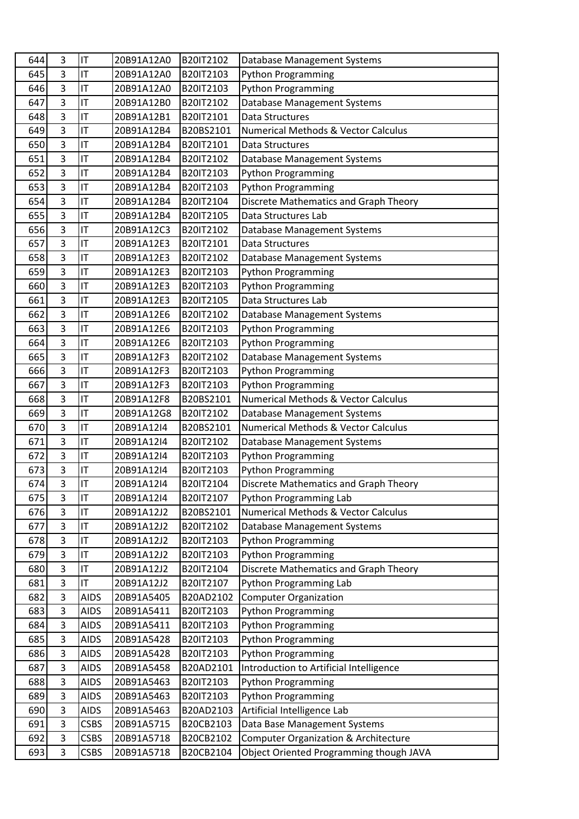| 644 | 3              | IT          | 20B91A12A0 | B20IT2102 | Database Management Systems                     |
|-----|----------------|-------------|------------|-----------|-------------------------------------------------|
| 645 | 3              | IT          | 20B91A12A0 | B20IT2103 | <b>Python Programming</b>                       |
| 646 | 3              | IT          | 20B91A12A0 | B20IT2103 | <b>Python Programming</b>                       |
| 647 | 3              | IT          | 20B91A12B0 | B20IT2102 | Database Management Systems                     |
| 648 | 3              | IT          | 20B91A12B1 | B20IT2101 | <b>Data Structures</b>                          |
| 649 | 3              | IT          | 20B91A12B4 | B20BS2101 | Numerical Methods & Vector Calculus             |
| 650 | 3              | IT          | 20B91A12B4 | B20IT2101 | Data Structures                                 |
| 651 | 3              | IT          | 20B91A12B4 | B20IT2102 | Database Management Systems                     |
| 652 | 3              | IT          | 20B91A12B4 | B20IT2103 | <b>Python Programming</b>                       |
| 653 | 3              | IT          | 20B91A12B4 | B20IT2103 | <b>Python Programming</b>                       |
| 654 | 3              | IT          | 20B91A12B4 | B20IT2104 | Discrete Mathematics and Graph Theory           |
| 655 | 3              | IT          | 20B91A12B4 | B20IT2105 | Data Structures Lab                             |
| 656 | 3              | IT          | 20B91A12C3 | B20IT2102 | Database Management Systems                     |
| 657 | $\overline{3}$ | IT          | 20B91A12E3 | B20IT2101 | Data Structures                                 |
| 658 | 3              | IT          | 20B91A12E3 | B20IT2102 | Database Management Systems                     |
| 659 | 3              | IT          | 20B91A12E3 | B20IT2103 | <b>Python Programming</b>                       |
| 660 | 3              | IT          | 20B91A12E3 | B20IT2103 | <b>Python Programming</b>                       |
| 661 | 3              | IT          | 20B91A12E3 | B20IT2105 | Data Structures Lab                             |
| 662 | 3              | IT          | 20B91A12E6 | B20IT2102 | Database Management Systems                     |
| 663 | 3              | IT          | 20B91A12E6 | B20IT2103 | <b>Python Programming</b>                       |
| 664 | 3              | IT          | 20B91A12E6 | B20IT2103 | <b>Python Programming</b>                       |
| 665 | 3              | IT          | 20B91A12F3 | B20IT2102 | Database Management Systems                     |
| 666 | 3              | IT          | 20B91A12F3 | B20IT2103 | <b>Python Programming</b>                       |
| 667 | 3              | IT          | 20B91A12F3 | B20IT2103 | <b>Python Programming</b>                       |
| 668 | 3              | IT          | 20B91A12F8 | B20BS2101 | <b>Numerical Methods &amp; Vector Calculus</b>  |
| 669 | 3              | IT          | 20B91A12G8 | B20IT2102 | Database Management Systems                     |
| 670 | 3              | IT          | 20B91A12I4 | B20BS2101 | <b>Numerical Methods &amp; Vector Calculus</b>  |
| 671 | 3              | IT          | 20B91A12I4 | B20IT2102 | <b>Database Management Systems</b>              |
| 672 | 3              | IT          | 20B91A12I4 | B20IT2103 | <b>Python Programming</b>                       |
| 673 | 3              | IT          | 20B91A12I4 | B20IT2103 | <b>Python Programming</b>                       |
| 674 | 3              | IT          | 20B91A12I4 | B20IT2104 | Discrete Mathematics and Graph Theory           |
| 675 | 3              | IT          | 20B91A12I4 | B20IT2107 | Python Programming Lab                          |
| 676 | 3              | IT          | 20B91A12J2 | B20BS2101 | <b>Numerical Methods &amp; Vector Calculus</b>  |
| 677 | 3              | IT          | 20B91A12J2 | B20IT2102 | Database Management Systems                     |
| 678 | 3              | IT          | 20B91A12J2 | B20IT2103 | <b>Python Programming</b>                       |
| 679 | 3              | IT          | 20B91A12J2 | B20IT2103 | <b>Python Programming</b>                       |
| 680 | 3              | IT          | 20B91A12J2 | B20IT2104 | Discrete Mathematics and Graph Theory           |
| 681 | 3              | IT          | 20B91A12J2 | B20IT2107 | Python Programming Lab                          |
| 682 | 3              | <b>AIDS</b> | 20B91A5405 | B20AD2102 | <b>Computer Organization</b>                    |
| 683 | 3              | <b>AIDS</b> | 20B91A5411 | B20IT2103 | <b>Python Programming</b>                       |
| 684 | 3              | <b>AIDS</b> | 20B91A5411 | B20IT2103 | <b>Python Programming</b>                       |
| 685 | 3              | <b>AIDS</b> | 20B91A5428 | B20IT2103 | <b>Python Programming</b>                       |
| 686 | 3              | <b>AIDS</b> | 20B91A5428 | B20IT2103 | <b>Python Programming</b>                       |
| 687 | 3              | <b>AIDS</b> | 20B91A5458 | B20AD2101 | Introduction to Artificial Intelligence         |
| 688 | 3              | <b>AIDS</b> | 20B91A5463 | B20IT2103 | <b>Python Programming</b>                       |
| 689 | 3              | <b>AIDS</b> | 20B91A5463 | B20IT2103 | <b>Python Programming</b>                       |
| 690 | 3              | <b>AIDS</b> | 20B91A5463 | B20AD2103 | Artificial Intelligence Lab                     |
| 691 | 3              | <b>CSBS</b> | 20B91A5715 | B20CB2103 | Data Base Management Systems                    |
| 692 | 3              | <b>CSBS</b> | 20B91A5718 | B20CB2102 | <b>Computer Organization &amp; Architecture</b> |
| 693 | 3              | <b>CSBS</b> | 20B91A5718 | B20CB2104 | Object Oriented Programming though JAVA         |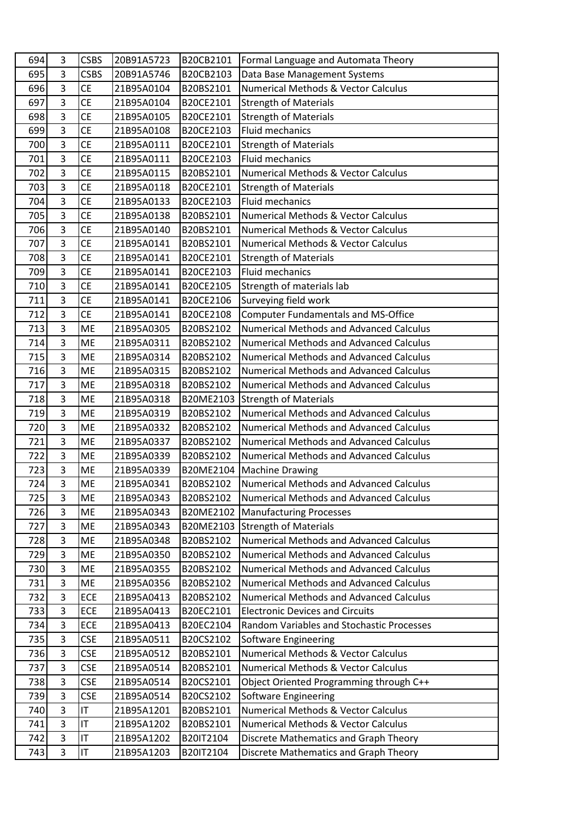| 694        | 3                   | <b>CSBS</b>              | 20B91A5723               | B20CB2101              | Formal Language and Automata Theory                                        |
|------------|---------------------|--------------------------|--------------------------|------------------------|----------------------------------------------------------------------------|
| 695        | $\overline{3}$      | <b>CSBS</b>              | 20B91A5746               | B20CB2103              | Data Base Management Systems                                               |
| 696        | $\overline{3}$      | <b>CE</b>                | 21B95A0104               | B20BS2101              | <b>Numerical Methods &amp; Vector Calculus</b>                             |
| 697        | 3                   | <b>CE</b>                | 21B95A0104               | B20CE2101              | <b>Strength of Materials</b>                                               |
| 698        | $\overline{3}$      | <b>CE</b>                | 21B95A0105               | B20CE2101              | <b>Strength of Materials</b>                                               |
| 699        | 3                   | <b>CE</b>                | 21B95A0108               | B20CE2103              | <b>Fluid mechanics</b>                                                     |
| 700        | $\overline{3}$      | <b>CE</b>                | 21B95A0111               | B20CE2101              | <b>Strength of Materials</b>                                               |
| 701        | $\overline{3}$      | <b>CE</b>                | 21B95A0111               | B20CE2103              | <b>Fluid mechanics</b>                                                     |
| 702        | $\overline{3}$      | <b>CE</b>                | 21B95A0115               | B20BS2101              | Numerical Methods & Vector Calculus                                        |
| 703        | $\overline{3}$      | <b>CE</b>                | 21B95A0118               | B20CE2101              | <b>Strength of Materials</b>                                               |
| 704        | $\overline{3}$      | <b>CE</b>                | 21B95A0133               | B20CE2103              | <b>Fluid mechanics</b>                                                     |
| 705        | $\overline{3}$      | <b>CE</b>                | 21B95A0138               | B20BS2101              | <b>Numerical Methods &amp; Vector Calculus</b>                             |
| 706        | $\overline{3}$      | <b>CE</b>                | 21B95A0140               | B20BS2101              | Numerical Methods & Vector Calculus                                        |
| 707        | $\overline{3}$      | <b>CE</b>                | 21B95A0141               | B20BS2101              | Numerical Methods & Vector Calculus                                        |
| 708        | $\overline{3}$      | <b>CE</b>                | 21B95A0141               | B20CE2101              | <b>Strength of Materials</b>                                               |
| 709        | $\overline{3}$      | <b>CE</b>                | 21B95A0141               | B20CE2103              | <b>Fluid mechanics</b>                                                     |
| 710        | $\overline{3}$      | <b>CE</b>                | 21B95A0141               | B20CE2105              | Strength of materials lab                                                  |
| 711        | $\overline{3}$      | <b>CE</b>                | 21B95A0141               | B20CE2106              | Surveying field work                                                       |
| 712        | $\overline{3}$      | <b>CE</b>                | 21B95A0141               | B20CE2108              | <b>Computer Fundamentals and MS-Office</b>                                 |
| 713        | $\overline{3}$      | <b>ME</b>                | 21B95A0305               | B20BS2102              | <b>Numerical Methods and Advanced Calculus</b>                             |
| 714        | $\overline{3}$      | ME                       | 21B95A0311               | B20BS2102              | Numerical Methods and Advanced Calculus                                    |
| 715        | $\overline{3}$      | <b>ME</b>                | 21B95A0314               | B20BS2102              | <b>Numerical Methods and Advanced Calculus</b>                             |
| 716        | $\overline{3}$      | ME                       | 21B95A0315               | B20BS2102              | <b>Numerical Methods and Advanced Calculus</b>                             |
| 717        | $\overline{3}$      | <b>ME</b>                | 21B95A0318               | B20BS2102              | <b>Numerical Methods and Advanced Calculus</b>                             |
| 718        | 3                   | ME                       | 21B95A0318               | B20ME2103              | <b>Strength of Materials</b>                                               |
| 719        | $\overline{3}$      | ME                       | 21B95A0319               | B20BS2102              | <b>Numerical Methods and Advanced Calculus</b>                             |
| 720        | $\overline{3}$      | <b>ME</b>                | 21B95A0332               | B20BS2102              | <b>Numerical Methods and Advanced Calculus</b>                             |
| 721        | $\overline{3}$      | ME                       | 21B95A0337               | B20BS2102              | Numerical Methods and Advanced Calculus                                    |
| 722        | $\overline{3}$      | ME                       | 21B95A0339               | B20BS2102              | <b>Numerical Methods and Advanced Calculus</b>                             |
| 723        | 3                   | ME                       | 21B95A0339               | B20ME2104              | <b>Machine Drawing</b>                                                     |
| 724        | $\overline{3}$      | <b>ME</b>                | 21B95A0341               | B20BS2102              | <b>Numerical Methods and Advanced Calculus</b>                             |
| 725        | 3                   | ME                       | 21B95A0343               | B20BS2102              | <b>Numerical Methods and Advanced Calculus</b>                             |
| 726        | $\overline{3}$      | ME                       | 21B95A0343               | B20ME2102              | <b>Manufacturing Processes</b>                                             |
| 727        | $\overline{3}$      | <b>ME</b>                | 21B95A0343               | B20ME2103              | <b>Strength of Materials</b>                                               |
| 728        | 3                   | ME                       | 21B95A0348               | B20BS2102              | <b>Numerical Methods and Advanced Calculus</b>                             |
| 729        | 3                   | ME                       | 21B95A0350               | B20BS2102              | <b>Numerical Methods and Advanced Calculus</b>                             |
| 730        | 3                   | ME                       | 21B95A0355               | B20BS2102              | <b>Numerical Methods and Advanced Calculus</b>                             |
| 731        | 3                   | ME                       | 21B95A0356               | B20BS2102              | <b>Numerical Methods and Advanced Calculus</b>                             |
| 732        | 3                   | ECE                      | 21B95A0413               | B20BS2102              | <b>Numerical Methods and Advanced Calculus</b>                             |
| 733        | $\overline{3}$      | ECE                      | 21B95A0413               | B20EC2101              | <b>Electronic Devices and Circuits</b>                                     |
| 734        | $\overline{3}$<br>3 | ECE                      | 21B95A0413               | B20EC2104              | Random Variables and Stochastic Processes                                  |
| 735        | $\overline{3}$      | <b>CSE</b>               | 21B95A0511               | B20CS2102              | Software Engineering                                                       |
| 736<br>737 | 3                   | <b>CSE</b><br><b>CSE</b> | 21B95A0512<br>21B95A0514 | B20BS2101<br>B20BS2101 | Numerical Methods & Vector Calculus<br>Numerical Methods & Vector Calculus |
| 738        | 3                   | <b>CSE</b>               | 21B95A0514               | B20CS2101              |                                                                            |
| 739        | $\overline{3}$      |                          |                          |                        | Object Oriented Programming through C++                                    |
| 740        | 3                   | <b>CSE</b><br>IT         | 21B95A0514<br>21B95A1201 | B20CS2102<br>B20BS2101 | Software Engineering<br>Numerical Methods & Vector Calculus                |
| 741        | 3                   | IT                       | 21B95A1202               | B20BS2101              | Numerical Methods & Vector Calculus                                        |
| 742        | 3                   | IT                       | 21B95A1202               | B20IT2104              | Discrete Mathematics and Graph Theory                                      |
|            | 3                   | IT                       | 21B95A1203               |                        |                                                                            |
| 743        |                     |                          |                          | B20IT2104              | Discrete Mathematics and Graph Theory                                      |